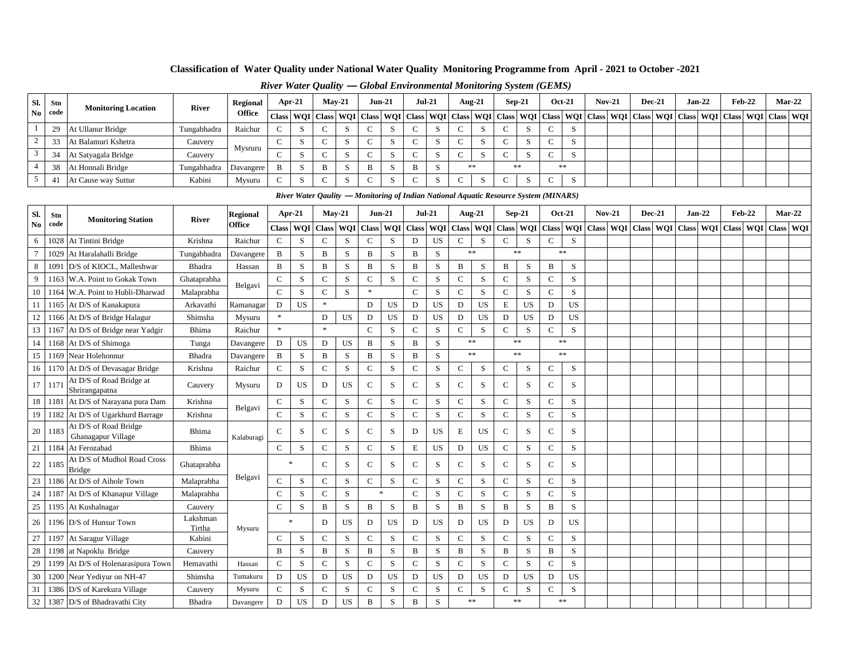### **Classification of Water Quality under National Water Quality Monitoring Programme from April - 2021 to October -2021**

|     |                |                            |              |               | $\sim$    |   |          |          |          |            |    | $5.50$ and $2.50$ and $3.50$ and $3.50$ and $3.50$ and $3.50$ and $3.50$ and $3.50$ and $3.50$ and $3.50$ and $3.50$ and $3.50$ and $3.50$ and $3.50$ and $3.50$ and $3.50$ and $3.50$ and $3.50$ and $3.50$ and $3.50$ and |          |               |          |        |        |        |          |                                                                                                                                                                                                                               |
|-----|----------------|----------------------------|--------------|---------------|-----------|---|----------|----------|----------|------------|----|-----------------------------------------------------------------------------------------------------------------------------------------------------------------------------------------------------------------------------|----------|---------------|----------|--------|--------|--------|----------|-------------------------------------------------------------------------------------------------------------------------------------------------------------------------------------------------------------------------------|
| SI. | Stn            | <b>Monitoring Location</b> | <b>River</b> | Regional      | Apr- $21$ |   | $Mav-21$ | $Jun-21$ | $Jul-21$ | Aug-21     |    |                                                                                                                                                                                                                             | $Sep-21$ | <b>Oct-21</b> | $Nov-21$ | Dec-21 | Jan-22 | Feb-22 | $Mar-22$ |                                                                                                                                                                                                                               |
| No. | code           |                            |              | <b>Office</b> |           |   |          |          |          |            |    |                                                                                                                                                                                                                             |          |               |          |        |        |        |          | Class   WQI   Class   WQI   Class   WQI   Class   WQI   Class   WQI   Class   WQI   Class   WQI   Class   WQI   Class   WQI   Class   WQI   Class   WQI   Class   WQI   Class   WQI   Class   WQI   Class   WQI   Class   WQI |
|     |                | At Ullanur Bridge          | Tungabhadra  | Raichur       |           |   |          |          |          | $\sim$     |    |                                                                                                                                                                                                                             | د.       |               |          |        |        |        |          |                                                                                                                                                                                                                               |
|     |                | At Balamuri Kshetra        | Cauvery      | Mysruru       |           |   |          |          |          |            |    |                                                                                                                                                                                                                             | د،       |               |          |        |        |        |          |                                                                                                                                                                                                                               |
|     | 2 <sub>1</sub> | At Satyagala Bridge        | Cauvery      |               |           |   |          |          |          |            | د. |                                                                                                                                                                                                                             | د.       |               |          |        |        |        |          |                                                                                                                                                                                                                               |
|     | 38             | At Honnali Bridge          | Tungabhadra  | Davangere     | B         | B |          | B        |          | **         |    |                                                                                                                                                                                                                             | **       |               |          |        |        |        |          |                                                                                                                                                                                                                               |
|     |                | At Cause way Suttur        | Kabini       | Mysuru        |           |   |          |          |          | $\sqrt{2}$ |    |                                                                                                                                                                                                                             |          |               |          |        |        |        |          |                                                                                                                                                                                                                               |

### *River Water Quality* **—** *Global Environmental Monitoring System (GEMS)*

|                 |      |                                              |                    |                 |               | River Water Qaulity — Monitoring of Indian National Aquatic Resource System (MINARS) |              |             |               |             |              |           |              |            |              |             |                                                                                                               |               |               |          |          |  |          |          |  |
|-----------------|------|----------------------------------------------|--------------------|-----------------|---------------|--------------------------------------------------------------------------------------|--------------|-------------|---------------|-------------|--------------|-----------|--------------|------------|--------------|-------------|---------------------------------------------------------------------------------------------------------------|---------------|---------------|----------|----------|--|----------|----------|--|
| SI.             | Stn  |                                              |                    | <b>Regional</b> |               | Apr-21                                                                               |              | $Mav-21$    | $Jun-21$      |             |              | $Jul-21$  |              | $Aug-21$   |              | $Sep-21$    |                                                                                                               | <b>Oct-21</b> | <b>Nov-21</b> | $Dec-21$ | $Jan-22$ |  | $Feb-22$ | $Mar-22$ |  |
| No              | code | <b>Monitoring Station</b>                    | <b>River</b>       | <b>Office</b>   |               | Class   WQI   Class   WQI   Class   WQI   Class   WQI                                |              |             |               |             |              |           |              |            |              |             | Class   WQI   Class   WQI   Class   WQI   Class   WQI   Class   WQI   Class   WQI   Class   WQI   Class   WQI |               |               |          |          |  |          |          |  |
| 6               |      | 1028 At Tintini Bridge                       | Krishna            | Raichur         | $\mathbf C$   | S                                                                                    | $\mathsf{C}$ | S           | $\mathsf{C}$  | S           | D            | US        | $\mathsf{C}$ | S          | $\mathsf{C}$ | S           | $\mathsf{C}$                                                                                                  | <sub>S</sub>  |               |          |          |  |          |          |  |
| $7\phantom{.0}$ |      | 1029 At Haralahalli Bridge                   | Tungabhadra        | Davangere       | B             | S                                                                                    | B            | S           | B             | S           | B            | S         |              | $\ast\ast$ |              | **          |                                                                                                               | **            |               |          |          |  |          |          |  |
| 8               | 1091 | D/S of KIOCL, Malleshwar                     | Bhadra             | Hassan          | B             | S                                                                                    | B            | S           | B             | S           | B            | S         | B            | S          | $\, {\bf B}$ | S           | B                                                                                                             | S             |               |          |          |  |          |          |  |
| 9               |      | 1163 W.A. Point to Gokak Town                | Ghataprabha        | Belgavi         | ${\bf C}$     | S                                                                                    | $\mathbf C$  | $\mathbf S$ | $\mathsf C$   | $\mathbf S$ | $\mathbf C$  | S         | ${\bf C}$    | S          | $\mathbf C$  | S           | $\mathbf C$                                                                                                   | ${\bf S}$     |               |          |          |  |          |          |  |
| 10              |      | 1164 W.A. Point to Hubli-Dharwad             | Malaprabha         |                 | $\mathbf C$   | $\,$ S                                                                               | $\mathbf C$  | ${\bf S}$   | $\ast$        |             | ${\bf C}$    | S         | $\mathbf C$  | ${\bf S}$  | $\mathbf C$  | $\mathbf S$ | $\mathbf C$                                                                                                   | S             |               |          |          |  |          |          |  |
| -11             |      | 1165 At D/S of Kanakapura                    | Arkavathi          | Ramanagar       | D             | <b>US</b>                                                                            | $\ast$       |             | D             | <b>US</b>   | D            | US        | D            | <b>US</b>  | Ε            | <b>US</b>   | D                                                                                                             | US            |               |          |          |  |          |          |  |
| 12              |      | 1166 At D/S of Bridge Halagur                | Shimsha            | Mysuru          | $\ast$        |                                                                                      | D            | US          | D             | US          | D            | <b>US</b> | D            | <b>US</b>  | D            | US          | D                                                                                                             | US            |               |          |          |  |          |          |  |
|                 |      | 13 1167 At D/S of Bridge near Yadgir         | Bhima              | Raichur         | $\ast$        |                                                                                      | $\ast$       |             | $\mathbf C$   | S           | $\mathsf{C}$ | S         | $\mathsf{C}$ | S          | $\mathsf C$  | S           | $\mathbf C$                                                                                                   | S             |               |          |          |  |          |          |  |
| 14              |      | 1168 At D/S of Shimoga                       | Tunga              | Davangere       | D             | US                                                                                   | D            | US          | B             | S           | B            | S         |              | $\ast\ast$ |              | $\ast\ast$  |                                                                                                               | **            |               |          |          |  |          |          |  |
| 15              |      | 1169 Near Holehonnur                         | Bhadra             | Davangere       | B             | S                                                                                    | B            | S           | B             | S           | B            | S         |              | $\ast\ast$ |              | **          |                                                                                                               | **            |               |          |          |  |          |          |  |
| 16              |      | 1170 At D/S of Devasagar Bridge              | Krishna            | Raichur         | $\mathsf{C}$  | S                                                                                    | $\mathsf{C}$ | S           | $\mathsf{C}$  | S           | $\mathsf{C}$ | S         | $\mathbf C$  | S          | $\mathsf{C}$ | S           | $\mathsf{C}$                                                                                                  | S             |               |          |          |  |          |          |  |
| 17              | 1171 | At D/S of Road Bridge at<br>Shrirangapatna   | Cauvery            | Mysuru          | D             | US                                                                                   | D            | US          | $\mathsf{C}$  | S           | $\mathbf C$  | S         | $\mathsf C$  | S          | $\mathsf{C}$ | S           | $\mathsf{C}$                                                                                                  | S             |               |          |          |  |          |          |  |
| 18              |      | 1181 At D/S of Narayana pura Dam             | Krishna            | Belgavi         | $\mathsf{C}$  | S                                                                                    | $\mathbf C$  | S           | $\mathsf{C}$  | S           | $\mathbf C$  | S         | ${\bf C}$    | S          | $\mathbf C$  | $\mathbf S$ | $\mathsf{C}$                                                                                                  | S             |               |          |          |  |          |          |  |
| 19              |      | 1182 At D/S of Ugarkhurd Barrage             | Krishna            |                 | $\mathbf C$   | S                                                                                    | $\mathbf C$  | S           | $\mathbf C$   | $\mathbf S$ | $\mathsf C$  | S         | $\mathbf C$  | S          | $\mathbf C$  | $\mathbf S$ | $\mathbf C$                                                                                                   | S             |               |          |          |  |          |          |  |
| 20              | 1183 | At D/S of Road Bridge<br>Ghanagapur Village  | Bhima              | Kalaburagi      | $\mathcal{C}$ | S                                                                                    | $\mathsf{C}$ | S           | $\mathsf{C}$  | S           | D            | US        | Е            | <b>US</b>  | $\mathsf{C}$ | S           | $\mathbf C$                                                                                                   | S             |               |          |          |  |          |          |  |
| 21              |      | 1184 At Ferozabad                            | Bhima              |                 | $\mathsf{C}$  | S                                                                                    | $\mathbf C$  | S           | $\mathcal{C}$ | S           | E            | US        | D            | US         | $\mathsf C$  | S           | $\mathbf C$                                                                                                   | S             |               |          |          |  |          |          |  |
| 22              | 1185 | At D/S of Mudhol Road Cross<br><b>Bridge</b> | Ghataprabha        |                 |               | 米                                                                                    | $\mathsf{C}$ | S           | $\mathsf{C}$  | S           | $\mathbf C$  | S         | $\mathbf C$  | S          | $\mathsf{C}$ | S           | $\mathsf{C}$                                                                                                  | S             |               |          |          |  |          |          |  |
|                 |      | 23 1186 At D/S of Aihole Town                | Malaprabha         | Belgavi         | $\mathsf{C}$  | S                                                                                    | $\mathbf C$  | S           | $\mathsf{C}$  | S           | $\mathsf{C}$ | S         | $\mathsf C$  | S          | $\mathsf{C}$ | S           | $\mathsf{C}$                                                                                                  | S             |               |          |          |  |          |          |  |
| 24              |      | 1187 At D/S of Khanapur Village              | Malaprabha         |                 | $\mathbf C$   | S                                                                                    | $\mathbf C$  | S           |               | $\ast$      | $\mathsf{C}$ | S         | $\mathbf C$  | S          | $\mathbf C$  | $\mathbf S$ | $\mathbf C$                                                                                                   | S             |               |          |          |  |          |          |  |
| 25              |      | 1195 At Kushalnagar                          | Cauvery            |                 | $\mathbf C$   | $\,$ S                                                                               | B            | S           | B             | S           | $\mathbf B$  | S         | $\, {\bf B}$ | S          | $\, {\bf B}$ | S           | B                                                                                                             | S             |               |          |          |  |          |          |  |
| 26              |      | 1196 D/S of Hunsur Town                      | Lakshman<br>Tirtha | Mysuru          |               | 宋                                                                                    | D            | US          | D             | US          | D            | US        | D            | <b>US</b>  | D            | US          | D                                                                                                             | US.           |               |          |          |  |          |          |  |
| 27              |      | 1197 At Saragur Village                      | Kabini             |                 | $\mathsf{C}$  | S                                                                                    | $\mathbf C$  | S           | $\mathsf{C}$  | S           | $\mathbf C$  | S         | $\mathbf C$  | S          | $\mathsf{C}$ | $\mathbf S$ | $\mathbf C$                                                                                                   | S             |               |          |          |  |          |          |  |
| 28              |      | 1198 at Napoklu Bridge                       | Cauvery            |                 | B             | S                                                                                    | B            | S           | B             | S           | B            | S         | B            | S          | B            | $\mathbf S$ | B                                                                                                             | S             |               |          |          |  |          |          |  |
| 29              |      | 1199 At D/S of Holenarasipura Town           | Hemavathi          | Hassan          | $\mathsf{C}$  | S                                                                                    | $\mathbf C$  | S           | $\mathsf{C}$  | S           | $\mathbf C$  | S         | $\mathsf C$  | S          | $\mathsf C$  | S           | $\mathbf C$                                                                                                   | S             |               |          |          |  |          |          |  |
| 30              |      | 1200 Near Yediyur on NH-47                   | Shimsha            | Tumakuru        | D             | US                                                                                   | ${\bf D}$    | <b>US</b>   | D             | <b>US</b>   | D            | US        | $\mathbf D$  | US         | ${\bf D}$    | <b>US</b>   | $\mathbf D$                                                                                                   | <b>US</b>     |               |          |          |  |          |          |  |
| 31              |      | 1386 D/S of Karekura Village                 | Cauvery            | Mysuru          | $\mathsf{C}$  | S                                                                                    | $\mathbf C$  | ${\bf S}$   | $\mathsf{C}$  | S           | $\mathbf C$  | S         | $\mathsf{C}$ | S          | $\mathsf{C}$ | S           | $\mathsf{C}$                                                                                                  | S             |               |          |          |  |          |          |  |
| 32              |      | 1387 D/S of Bhadravathi City                 | <b>Bhadra</b>      | Davangere       | D             | US                                                                                   | D            | US          | B             | $\mathbf S$ | B            | S         |              | **         |              | **          |                                                                                                               | **            |               |          |          |  |          |          |  |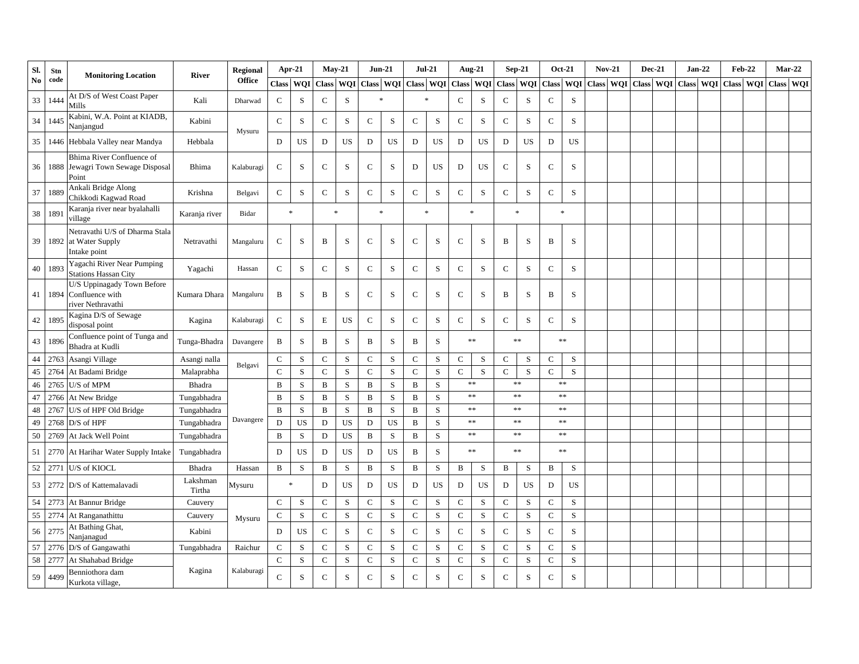| SI.    | Stn  | <b>Monitoring Location</b>                                                | <b>River</b>       | <b>Regional</b> |               | Apr-21     |              | $May-21$     | <b>Jun-21</b> |           | <b>Jul-21</b> |           |               | <b>Aug-21</b> |              | $Sep-21$    |              | <b>Oct-21</b> | <b>Nov-21</b> | <b>Dec-21</b> |            | $Jan-22$  | <b>Feb-22</b> | Mar-22    |  |
|--------|------|---------------------------------------------------------------------------|--------------------|-----------------|---------------|------------|--------------|--------------|---------------|-----------|---------------|-----------|---------------|---------------|--------------|-------------|--------------|---------------|---------------|---------------|------------|-----------|---------------|-----------|--|
| No     | code |                                                                           |                    | <b>Office</b>   | <b>Class</b>  | <b>WOI</b> | <b>Class</b> | <b>WQI</b>   | Class WQI     |           | Class WQI     |           | <b>Class</b>  | <b>WQI</b>    |              | Class WQI   |              | Class WQI     | Class WOI     | <b>Class</b>  | <b>WOI</b> | Class WOI | Class WOI     | Class WOI |  |
| 33     | 1444 | At D/S of West Coast Paper<br>Mills                                       | Kali               | Dharwad         | $\mathsf C$   | S          | $\mathbf C$  | S            | $\ast$        |           | $\ast$        |           | $\mathcal{C}$ | S             | $\mathsf{C}$ | S           | $\mathsf{C}$ | S             |               |               |            |           |               |           |  |
| 34     | 1445 | Kabini, W.A. Point at KIADB,<br>Nanjangud                                 | Kabini             | Mysuru          | $\mathsf C$   | S          | $\mathbf C$  | ${\bf S}$    | $\mathsf{C}$  | ${\bf S}$ | $\mathbf C$   | S         | $\mathbf C$   | ${\bf S}$     | ${\bf C}$    | $\,$ S      | $\mathbf C$  | S             |               |               |            |           |               |           |  |
| 35     | 1446 | Hebbala Valley near Mandya                                                | Hebbala            |                 | D             | US         | ${\bf D}$    | US           | D             | US        | ${\rm D}$     | US        | $\mathbf D$   | <b>US</b>     | D            | US          | ${\rm D}$    | <b>US</b>     |               |               |            |           |               |           |  |
| 36     | 1888 | <b>Bhima River Confluence of</b><br>Jewagri Town Sewage Disposal<br>Point | Bhima              | Kalaburagi      | $\mathsf C$   | S          | $\mathsf{C}$ | S            | $\mathsf{C}$  | S         | D             | US        | D             | <b>US</b>     | $\mathsf{C}$ | $\mathbf S$ | $\mathsf{C}$ | S             |               |               |            |           |               |           |  |
| 37     | 1889 | Ankali Bridge Along<br>Chikkodi Kagwad Road                               | Krishna            | Belgavi         | $\mathbf C$   | S          | $\mathbf C$  | S            | $\mathbf C$   | ${\bf S}$ | $\mathsf C$   | S         | $\mathsf C$   | ${\bf S}$     | ${\bf C}$    | $\,$ S      | $\mathbf C$  | S             |               |               |            |           |               |           |  |
| 38     | 1891 | Karanja river near byalahalli<br>village                                  | Karanja river      | Bidar           |               | $\ast$     |              | $\mathbf{R}$ | $\ast$        |           | $\ast$        |           |               | $\mathbf{x}$  |              | $\ast$      |              | $\ast$        |               |               |            |           |               |           |  |
| 39     | 1892 | Netravathi U/S of Dharma Stala<br>at Water Supply<br>Intake point         | Netravathi         | Mangaluru       | $\mathbf C$   | S          | B            | S            | $\mathbf C$   | ${\bf S}$ | $\mathbf C$   | S         | $\mathsf{C}$  | S             | B            | S           | $\, {\bf B}$ | S             |               |               |            |           |               |           |  |
| $40\,$ | 1893 | Yagachi River Near Pumping<br><b>Stations Hassan City</b>                 | Yagachi            | Hassan          | ${\bf C}$     | ${\bf S}$  | $\mathbf C$  | ${\bf S}$    | $\mathbf C$   | ${\bf S}$ | $\mathbf C$   | S         | ${\bf C}$     | ${\bf S}$     | ${\bf C}$    | $\mathbf S$ | ${\bf C}$    | $\mathbf S$   |               |               |            |           |               |           |  |
| 41     | 1894 | U/S Uppinagady Town Before<br>Confluence with<br>river Nethravathi        | Kumara Dhara       | Mangaluru       | B             | S          | B            | S            | $\mathsf{C}$  | ${\bf S}$ | $\mathbf C$   | ${\bf S}$ | $\mathsf C$   | S             | $\, {\bf B}$ | $\,$ S      | $\, {\bf B}$ | S             |               |               |            |           |               |           |  |
| 42     | 1895 | Kagina D/S of Sewage<br>disposal point                                    | Kagina             | Kalaburagi      | $\mathbf C$   | S          | E            | US           | ${\bf C}$     | ${\bf S}$ | $\mathsf C$   | S         | $\mathsf C$   | ${\bf S}$     | ${\bf C}$    | $\,$ S      | $\mathbf C$  | $\mathbf S$   |               |               |            |           |               |           |  |
| 43     | 1896 | Confluence point of Tunga and<br>Bhadra at Kudli                          | Tunga-Bhadra       | Davangere       | B             | S          | B            | S            | B             | S         | B             | S         |               | $\ast\ast$    |              | $**$        |              | **            |               |               |            |           |               |           |  |
| 44     | 2763 | Asangi Village                                                            | Asangi nalla       |                 | $\mathbf C$   | S          | $\mathbf C$  | ${\bf S}$    | $\mathsf{C}$  | S         | $\mathbf C$   | S         | $\mathbf C$   | ${\bf S}$     | $\mathbf C$  | $\mathbf S$ | $\mathsf{C}$ | ${\bf S}$     |               |               |            |           |               |           |  |
| 45     | 2764 | At Badami Bridge                                                          | Malaprabha         | Belgavi         | $\mathcal{C}$ | S          | $\mathbf C$  | S            | $\mathbf C$   | S         | $\mathbf C$   | S         | $\mathsf{C}$  | S             | $\mathsf{C}$ | S           | $\mathbf C$  | S             |               |               |            |           |               |           |  |
| 46     | 2765 | U/S of MPM                                                                | Bhadra             |                 | $\bf{B}$      | S          | $\mathbf{B}$ | ${\bf S}$    | B             | ${\bf S}$ | $\mathbf{B}$  | S         |               | $\ast\ast$    |              | $\ast\ast$  |              | $\ast\ast$    |               |               |            |           |               |           |  |
| 47     | 2766 | At New Bridge                                                             | Tungabhadra        |                 | B             | S          | B            | ${\bf S}$    | $\, {\bf B}$  | ${\bf S}$ | $\, {\bf B}$  | S         |               | $\ast\ast$    |              | $\ast\ast$  |              | $\ast\ast$    |               |               |            |           |               |           |  |
| 48     | 2767 | U/S of HPF Old Bridge                                                     | Tungabhadra        |                 | $\bf{B}$      | ${\bf S}$  | $\mathbf{B}$ | ${\bf S}$    | $\mathbf B$   | ${\bf S}$ | $\mathbf{B}$  | ${\bf S}$ |               | $\ast\ast$    |              | $\ast\ast$  |              | $\ast\ast$    |               |               |            |           |               |           |  |
| 49     | 2768 | $\rm{D/S}$ of HPF                                                         | Tungabhadra        | Davangere       | D             | US         | D            | US           | D             | US        | B             | S         |               | $**$          |              | $\ast\ast$  |              | **            |               |               |            |           |               |           |  |
| 50     | 2769 | At Jack Well Point                                                        | Tungabhadra        |                 | B             | S          | D            | <b>US</b>    | $\, {\bf B}$  | ${\bf S}$ | $\, {\bf B}$  | S         |               | $\ast\ast$    |              | $\ast\ast$  |              | $\ast\ast$    |               |               |            |           |               |           |  |
| 51     | 2770 | At Harihar Water Supply Intake                                            | Tungabhadra        |                 | $\mathbf D$   | US         | D            | US           | D             | <b>US</b> | $\, {\bf B}$  | S         |               | $\ast\ast$    |              | $**$        |              | **            |               |               |            |           |               |           |  |
| 52     | 2771 | U/S of KIOCL                                                              | Bhadra             | Hassan          | $\, {\bf B}$  | ${\bf S}$  | B            | ${\bf S}$    | $\, {\bf B}$  | ${\bf S}$ | $\, {\bf B}$  | S         | B             | S             | B            | S           | $\, {\bf B}$ | S             |               |               |            |           |               |           |  |
| 53     | 2772 | D/S of Kattemalavadi                                                      | Lakshman<br>Tirtha | Mysuru          |               | $\ast$     | D            | US           | D             | US        | D             | US        | $\mathbf D$   | <b>US</b>     | D            | <b>US</b>   | D            | <b>US</b>     |               |               |            |           |               |           |  |
| 54     | 2773 | At Bannur Bridge                                                          | Cauvery            |                 | $\mathsf C$   | S          | $\mathbf C$  | S            | $\mathbf C$   | S         | $\mathbf C$   | S         | $\mathsf C$   | S             | $\mathsf{C}$ | S           | $\mathsf C$  | S             |               |               |            |           |               |           |  |
| 55     | 2774 | At Ranganathittu                                                          | Cauvery            | Mysuru          | $\mathsf C$   | S          | $\mathbf C$  | S            | $\mathsf{C}$  | S         | $\mathbf C$   | ${\bf S}$ | $\mathsf{C}$  | S             | $\mathsf{C}$ | S           | $\mathsf{C}$ | S             |               |               |            |           |               |           |  |
| 56     | 2775 | At Bathing Ghat,<br>Nanjanagud                                            | Kabini             |                 | D             | US         | $\mathbf C$  | S            | ${\bf C}$     | ${\bf S}$ | $\mathbf C$   | ${\bf S}$ | $\mathbf C$   | ${\bf S}$     | ${\bf C}$    | $\,$ S      | ${\bf C}$    | $\mathbf S$   |               |               |            |           |               |           |  |
| 57     | 2776 | D/S of Gangawathi                                                         | Tungabhadra        | Raichur         | $\mathbf C$   | S          | $\mathbf C$  | ${\bf S}$    | $\mathsf{C}$  | S         | $\mathbf C$   | S         | $\mathsf{C}$  | ${\bf S}$     | $\mathbf C$  | $\,$ S      | $\mathbf C$  | ${\bf S}$     |               |               |            |           |               |           |  |
| 58     | 2777 | At Shahabad Bridge                                                        |                    |                 | $\mathsf{C}$  | ${\bf S}$  | $\mathbf C$  | ${\bf S}$    | $\mathsf C$   | ${\bf S}$ | ${\bf C}$     | ${\bf S}$ | $\mathsf C$   | ${\bf S}$     | ${\bf C}$    | S           | $\mathbf C$  | $\mathbf S$   |               |               |            |           |               |           |  |
| 59     | 4499 | Benniothora dam<br>Kurkota village,                                       | Kagina             | Kalaburagi      | $\mathbf C$   | S          | $\mathbf C$  | S            | $\mathsf C$   | S         | $\mathsf{C}$  | S         | $\mathbf C$   | S             | $\mathbf C$  | $\mathbf S$ | $\mathbf C$  | S             |               |               |            |           |               |           |  |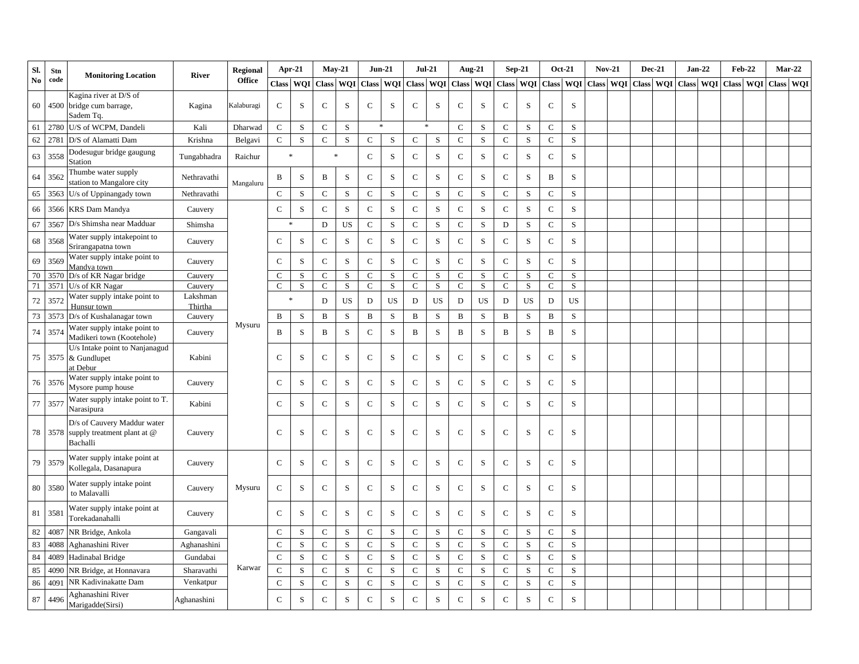| SI.    | <b>Stn</b> | <b>Monitoring Location</b>                                             | <b>River</b>        | <b>Regional</b> |              | Apr-21    |              | $May-21$   | $Jun-21$     |             |              | $Jul-21$  |              | Aug-21      |              | $Sep-21$    |              | <b>Oct-21</b> | <b>Nov-21</b>       |              | $Dec-21$   |           | $Jan-22$ |           | <b>Feb-22</b> |           | $Mar-22$ |
|--------|------------|------------------------------------------------------------------------|---------------------|-----------------|--------------|-----------|--------------|------------|--------------|-------------|--------------|-----------|--------------|-------------|--------------|-------------|--------------|---------------|---------------------|--------------|------------|-----------|----------|-----------|---------------|-----------|----------|
| No     | code       |                                                                        |                     | <b>Office</b>   | <b>Class</b> | WQI       | <b>Class</b> | <b>WQI</b> | Class WQI    |             | Class WQI    |           | <b>Class</b> | <b>WQI</b>  |              | Class WQI   |              |               | Class WQI Class WQI | <b>Class</b> | <b>WOI</b> | Class WOI |          | Class WQI |               | Class WOI |          |
| 60     |            | Kagina river at D/S of<br>4500 bridge cum barrage,<br>Sadem Tq.        | Kagina              | Kalaburagi      | $\mathbf C$  | S         | C            | S          | $\mathsf{C}$ | S           | $\mathbf C$  | S         | $\mathsf C$  | S           | $\mathsf{C}$ | S           | $\mathbf C$  | S             |                     |              |            |           |          |           |               |           |          |
| 61     | 2780       | U/S of WCPM, Dandeli                                                   | Kali                | Dharwad         | $\mathsf C$  | S         | $\mathbf C$  | S          |              | $\ast$      |              |           | $\mathsf C$  | S           | $\mathsf{C}$ | S           | $\mathsf C$  | S             |                     |              |            |           |          |           |               |           |          |
| 62     | 2781       | D/S of Alamatti Dam                                                    | Krishna             | Belgavi         | $\mathsf C$  | S         | $\mathbf C$  | S          | $\mathbf C$  | S           | $\mathbf C$  | S         | $\mathsf{C}$ | S           | ${\bf C}$    | $\mathbf S$ | $\mathbf C$  | S             |                     |              |            |           |          |           |               |           |          |
| 63     | 3558       | Dodesugur bridge gaugung<br>Station                                    | Tungabhadra         | Raichur         |              | $\ast$    |              | $\ast$     | $\mathsf{C}$ | ${\bf S}$   | $\mathbf C$  | S         | $\mathsf C$  | S           | $\mathbf C$  | $\,$ S      | ${\bf C}$    | $\mathbf S$   |                     |              |            |           |          |           |               |           |          |
| 64     | 3562       | Thumbe water supply<br>station to Mangalore city                       | Nethravathi         | Mangaluru       | B            | S         | $\, {\bf B}$ | S          | $\mathbf C$  | ${\bf S}$   | $\mathbf C$  | S         | $\mathsf C$  | ${\bf S}$   | ${\bf C}$    | $\,$ S      | $\, {\bf B}$ | $\mathbf S$   |                     |              |            |           |          |           |               |           |          |
| 65     | 3563       | U/s of Uppinangady town                                                | Nethravathi         |                 | $\mathsf C$  | S         | $\mathbf C$  | S          | $\mathsf{C}$ | S           | $\mathbf C$  | S         | $\mathbf C$  | ${\bf S}$   | $\mathsf{C}$ | S           | $\mathsf C$  | S             |                     |              |            |           |          |           |               |           |          |
| 66     | 3566       | <b>KRS</b> Dam Mandya                                                  | Cauvery             |                 | $\mathbf C$  | S         | $\mathbf C$  | S          | $\mathbf C$  | ${\bf S}$   | $\mathbf C$  | S         | $\mathsf C$  | ${\bf S}$   | ${\bf C}$    | $\mathbf S$ | ${\bf C}$    | $\mathbf S$   |                     |              |            |           |          |           |               |           |          |
| 67     | 3567       | D/s Shimsha near Madduar                                               | Shimsha             |                 |              |           | D            | US         | $\mathsf{C}$ | S           | $\mathbf C$  | S         | $\mathsf C$  | ${\bf S}$   | $\mathbf D$  | $\,$ S      | $\mathsf{C}$ | S             |                     |              |            |           |          |           |               |           |          |
| 68     | 3568       | Water supply intakepoint to<br>Srirangapatna town                      | Cauvery             |                 | $\mathbf C$  | ${\bf S}$ | $\mathbf C$  | ${\bf S}$  | ${\bf C}$    | ${\bf S}$   | $\mathbf C$  | ${\bf S}$ | ${\bf C}$    | ${\bf S}$   | $\mathsf C$  | $\mathbf S$ | ${\bf C}$    | ${\bf S}$     |                     |              |            |           |          |           |               |           |          |
| 69     | 3569       | Water supply intake point to<br>Mandya town                            | Cauvery             |                 | $\mathbf C$  | S         | $\mathbf C$  | S          | $\mathsf C$  | S           | $\mathbf C$  | S         | $\mathsf C$  | S           | $\mathbf C$  | $\mathbf S$ | $\mathsf C$  | S             |                     |              |            |           |          |           |               |           |          |
| 70     | 3570       | D/s of KR Nagar bridge                                                 | Cauvery             |                 | $\mathsf C$  | S         | $\mathbf C$  | S          | $\mathsf{C}$ | S           | $\mathbf C$  | S         | $\mathsf{C}$ | $\mathbf S$ | $\mathsf{C}$ | S           | $\mathsf{C}$ | S             |                     |              |            |           |          |           |               |           |          |
| 71     | 3571       | U/s of KR Nagar                                                        | Cauvery             |                 | $\mathsf{C}$ | S         | $\mathsf{C}$ | S          | $\mathbf C$  | S           | $\mathbf{C}$ | S         | $\mathsf C$  | S           | $\mathsf C$  | S           | $\mathsf{C}$ | S             |                     |              |            |           |          |           |               |           |          |
| $72\,$ | 3572       | Water supply intake point to<br>Hunsur town                            | Lakshman<br>Thirtha |                 |              | ż         | D            | US         | D            | US          | D            | US        | D            | US          | ${\bf D}$    | US          | D            | <b>US</b>     |                     |              |            |           |          |           |               |           |          |
| 73     | 3573       | D/s of Kushalanagar town                                               | Cauvery             |                 | B            | S         | B            | S          | B            | S           | $\, {\bf B}$ | S         | B            | ${\bf S}$   | $\, {\bf B}$ | S           | B            | S             |                     |              |            |           |          |           |               |           |          |
| 74     | 3574       | Water supply intake point to<br>Madikeri town (Kootehole)              | Cauvery             | Mysuru          | B            | S         | B            | S          | $\mathbf C$  | ${\bf S}$   | B            | S         | B            | $\,$ S      | B            | S           | $\, {\bf B}$ | $\mathbf S$   |                     |              |            |           |          |           |               |           |          |
| 75     | 3575       | U/s Intake point to Nanjanagud<br>& Gundlupet<br>at Debur              | Kabini              |                 | $\mathbf C$  | S         | $\mathbf C$  | S          | $\mathsf{C}$ | S           | $\mathbf C$  | S         | $\mathsf C$  | S           | $\mathbf C$  | $\mathbf S$ | $\mathbf C$  | S             |                     |              |            |           |          |           |               |           |          |
| 76     | 3576       | Water supply intake point to<br>Mysore pump house                      | Cauvery             |                 | $\mathsf{C}$ | S         | $\mathbf C$  | ${\bf S}$  | $\mathbf C$  | ${\bf S}$   | $\mathbf C$  | S         | $\mathbf C$  | S           | $\mathbf C$  | S           | $\mathbf C$  | S             |                     |              |            |           |          |           |               |           |          |
| 77     | 3577       | Water supply intake point to T.<br>Narasipura                          | Kabini              |                 | $\mathsf C$  | S         | $\mathbf C$  | S          | $\mathbf C$  | ${\bf S}$   | $\mathbf C$  | S         | $\mathbf C$  | ${\bf S}$   | ${\bf C}$    | S           | $\mathbf C$  | $\mathbf S$   |                     |              |            |           |          |           |               |           |          |
| 78     | 3578       | D/s of Cauvery Maddur water<br>supply treatment plant at @<br>Bachalli | Cauvery             |                 | $\mathsf C$  | S         | $\mathbf C$  | S          | $\mathsf{C}$ | S           | $\mathbf C$  | S         | $\mathsf C$  | S           | $\mathsf{C}$ | S           | $\mathsf{C}$ | S             |                     |              |            |           |          |           |               |           |          |
| 79     | 3579       | Water supply intake point at<br>Kollegala, Dasanapura                  | Cauvery             |                 | $\mathsf{C}$ | S         | $\mathsf{C}$ | S          | $\mathsf{C}$ | S           | $\mathbf C$  | S         | $\mathbf C$  | ${\bf S}$   | $\mathsf C$  | S           | $\mathbf C$  | ${\bf S}$     |                     |              |            |           |          |           |               |           |          |
| 80     | 3580       | Water supply intake point<br>to Malavalli                              | Cauvery             | Mysuru          | $\mathsf{C}$ | S         | $\mathbf C$  | ${\bf S}$  | $\mathsf{C}$ | ${\bf S}$   | $\mathsf{C}$ | S         | $\mathbf C$  | ${\bf S}$   | $\mathsf{C}$ | S           | $\mathsf{C}$ | S             |                     |              |            |           |          |           |               |           |          |
| 81     | 3581       | Water supply intake point at<br>Torekadanahalli                        | Cauvery             |                 | $\mathsf{C}$ | S         | $\mathbf C$  | S          | $\mathsf C$  | ${\bf S}$   | $\mathbf C$  | S         | $\mathsf C$  | S           | $\mathbf C$  | $\mathbf S$ | $\mathsf C$  | $\mathbf S$   |                     |              |            |           |          |           |               |           |          |
| 82     | 4087       | NR Bridge, Ankola                                                      | Gangavali           |                 | $\mathsf{C}$ | S         | $\mathbf C$  | S          | $\mathsf{C}$ | ${\bf S}$   | $\mathbf C$  | S         | $\mathbf C$  | S           | $\mathsf{C}$ | S           | $\mathsf C$  | S             |                     |              |            |           |          |           |               |           |          |
| 83     | 4088       | Aghanashini River                                                      | Aghanashini         |                 | $\mathsf{C}$ | S         | $\mathsf{C}$ | S          | $\mathsf{C}$ | S           | $\mathbf C$  | S         | $\mathsf{C}$ | S           | $\mathbf C$  | S           | $\mathsf C$  | S             |                     |              |            |           |          |           |               |           |          |
| 84     | 4089       | Hadinabal Bridge                                                       | Gundabai            |                 | $\mathsf C$  | S         | $\mathbf C$  | S          | $\mathsf C$  | S           | $\mathsf{C}$ | S         | $\mathsf C$  | S           | $\mathbf C$  | S           | $\mathbf C$  | S             |                     |              |            |           |          |           |               |           |          |
| 85     | 4090       | NR Bridge, at Honnavara                                                | Sharavathi          | Karwar          | $\mathsf C$  | S         | $\mathbf C$  | S          | $\mathsf{C}$ | ${\bf S}$   | $\mathsf C$  | S         | $\mathsf{C}$ | $\mathbf S$ | $\mathbf C$  | S           | $\mathbf C$  | $\mathbf S$   |                     |              |            |           |          |           |               |           |          |
| 86     | 4091       | NR Kadivinakatte Dam                                                   | Venkatpur           |                 | $\mathbf C$  | S         | $\mathbf C$  | S          | $\mathsf C$  | S           | $\mathbf C$  | S         | $\mathsf C$  | S           | $\mathbf C$  | S           | $\mathbf C$  | S             |                     |              |            |           |          |           |               |           |          |
| 87     | 4496       | Aghanashini River<br>Marigadde(Sirsi)                                  | Aghanashini         |                 | $\mathsf{C}$ | S         | $\mathbf C$  | S          | $\mathsf{C}$ | $\mathbf S$ | $\mathbf C$  | S         | $\mathsf C$  | S           | $\mathbf C$  | S           | $\mathsf{C}$ | S             |                     |              |            |           |          |           |               |           |          |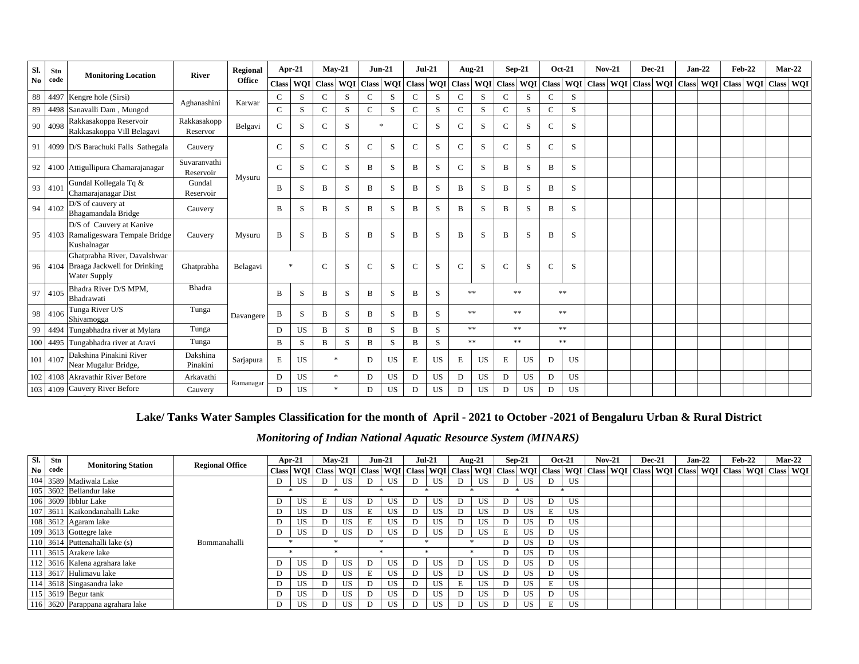| SI.            | Stn  | <b>Monitoring Location</b>                                                        | <b>River</b>              | Regional  | Apr-21        |                  |              | $May-21$   | $Jun-21$     |           | $Jul-21$      |           | <b>Aug-21</b> |           | $Sep-21$      |           |               | <b>Oct-21</b> | <b>Nov-21</b> | $Dec-21$ |                                                                                   | $Jan-22$ |              | $Feb-22$ | $Mar-22$      |  |
|----------------|------|-----------------------------------------------------------------------------------|---------------------------|-----------|---------------|------------------|--------------|------------|--------------|-----------|---------------|-----------|---------------|-----------|---------------|-----------|---------------|---------------|---------------|----------|-----------------------------------------------------------------------------------|----------|--------------|----------|---------------|--|
| N <sub>0</sub> | code |                                                                                   |                           | Office    | <b>Class</b>  | <b>WOI</b> Class |              | <b>WQI</b> | Class WQI    |           | <b>Class</b>  | WQI       |               |           |               |           |               |               |               |          | Class   WQI   Class   WQI   Class   WQI   Class   WQI   Class   WQI   Class   WQI |          | <b>Class</b> |          | WQI Class WQI |  |
| 88             |      | 4497 Kengre hole (Sirsi)                                                          | Aghanashini               | Karwar    | $\mathsf{C}$  | S                | $\mathbf C$  | S          | C            | S         | $\mathbf C$   | S         | $\mathsf{C}$  | S         | $\mathsf{C}$  | S         | $\mathcal{C}$ | S             |               |          |                                                                                   |          |              |          |               |  |
| 89             |      | 4498 Sanavalli Dam, Mungod                                                        |                           |           | $\mathsf{C}$  | S                | $\mathsf{C}$ | S          | $\mathsf{C}$ | S         | $\mathsf{C}$  | S         | $\mathsf{C}$  | S         | $\mathcal{C}$ | S         | $\mathcal{C}$ | S             |               |          |                                                                                   |          |              |          |               |  |
| 90             | 4098 | Rakkasakoppa Reservoir<br>Rakkasakoppa Vill Belagavi                              | Rakkasakopp<br>Reservor   | Belgavi   | $\mathcal{C}$ | S                | $\mathbf C$  | S          |              | $\ast$    | $\mathcal{C}$ | S         | $\mathbf C$   | S         | C             | S         | $\mathcal{C}$ | S             |               |          |                                                                                   |          |              |          |               |  |
| 91             |      | 4099 D/S Barachuki Falls Sathegala                                                | Cauvery                   |           | $\mathbf{C}$  | S                | $\mathsf{C}$ | S          | $\mathbf{C}$ | S         | $\mathbf C$   | S         | $\mathsf{C}$  | S         | $\mathcal{C}$ | S         | $\mathcal{C}$ | S             |               |          |                                                                                   |          |              |          |               |  |
| 92             |      | 4100 Attigullipura Chamarajanagar                                                 | Suvaranvathi<br>Reservoir | Mysuru    | $\mathcal{C}$ | S                | $\mathsf{C}$ | S          | B            | S         | B             | S         | $\mathsf{C}$  | S         | B             | S         | B             | S             |               |          |                                                                                   |          |              |          |               |  |
| 93             | 4101 | Gundal Kollegala Tq &<br>Chamarajanagar Dist                                      | Gundal<br>Reservoir       |           | B             | S                | B            | S          | B            | S         | B             | S         | B             | S         | B             | S         | B             | S             |               |          |                                                                                   |          |              |          |               |  |
| 94             | 4102 | D/S of cauvery at<br>Bhagamandala Bridge                                          | Cauvery                   |           | B             | S                | B            | S          | B            | S         | B             | S         | B             | S         | B             | S         | R             | S             |               |          |                                                                                   |          |              |          |               |  |
| 95             |      | D/S of Cauvery at Kanive<br>4103 Ramaligeswara Tempale Bridge<br>Kushalnagar      | Cauvery                   | Mysuru    | B             | S                | B            | S          | B            | S         | B             | S         | $\, {\bf B}$  | S         | B             | S         | B             | S             |               |          |                                                                                   |          |              |          |               |  |
| 96             |      | Ghatprabha River, Davalshwar<br>4104 Braaga Jackwell for Drinking<br>Water Supply | Ghatprabha                | Belagavi  | $\ast$        |                  | $\mathsf{C}$ | S          | $\mathsf{C}$ | S         | $\mathcal{C}$ | S         | $\mathcal{C}$ | S         | C             | S         | $\mathcal{C}$ | S             |               |          |                                                                                   |          |              |          |               |  |
| 97             | 4105 | Bhadra River D/S MPM,<br>Bhadrawati                                               | <b>Bhadra</b>             |           | B             | S                | B            | S          | B            | S         | B             | S         |               | **        |               | **        |               | **            |               |          |                                                                                   |          |              |          |               |  |
| 98             | 4106 | Tunga River U/S<br>Shivamogga                                                     | Tunga                     | Davangere | B             | S                | B            | S          | B            | S         | B             | S         |               | **        |               | **        |               | **            |               |          |                                                                                   |          |              |          |               |  |
| 99             |      | 4494 Tungabhadra river at Mylara                                                  | Tunga                     |           | D             | <b>US</b>        | $\mathbf{B}$ | S          | B            | S         | B             | S         |               | **        |               | **        |               | **            |               |          |                                                                                   |          |              |          |               |  |
| 100            |      | 4495 Tungabhadra river at Aravi                                                   | Tunga                     |           | $\mathbf{B}$  | S                | B            | S          | B            | S.        | B             | S         |               | **        |               | **        |               | **            |               |          |                                                                                   |          |              |          |               |  |
| 101            | 4107 | Dakshina Pinakini River<br>Near Mugalur Bridge,                                   | Dakshina<br>Pinakini      | Sarjapura | E             | <b>US</b>        |              | $\ast$     | D            | US        | Е             | US        | $\mathbf E$   | US        | Е             | US        | D             | <b>US</b>     |               |          |                                                                                   |          |              |          |               |  |
| 102            | 4108 | Akravathir River Before                                                           | Arkavathi                 |           | D             | <b>US</b>        |              | $\ast$     | D            | US        | D             | US        | D             | <b>US</b> | D             | <b>US</b> | D             | <b>US</b>     |               |          |                                                                                   |          |              |          |               |  |
| 103            | 4109 | Cauvery River Before                                                              | Cauvery                   | Ramanagar | D             | US.              |              | *          | D            | <b>US</b> | D             | <b>US</b> | D             | <b>US</b> | D             | US        | D             | <b>US</b>     |               |          |                                                                                   |          |              |          |               |  |

## **Lake/ Tanks Water Samples Classification for the month of April - 2021 to October -2021 of Bengaluru Urban & Rural District**

*Monitoring of Indian National Aquatic Resource System (MINARS)*

| Sl. | Stn  | <b>Monitoring Station</b>        | <b>Regional Office</b> | Apr-21 | $Mav-21$                                                                                                                                                                                                                     | <b>Jun-21</b> |     | $Jul-21$ |           | Aug-21 |           |   | $Sep-21$  | <b>Oct-21</b> |           | $Nov-21$ | $Dec-21$ |  | $Jan-22$ | $Feb-22$ | $Mar-22$ |  |
|-----|------|----------------------------------|------------------------|--------|------------------------------------------------------------------------------------------------------------------------------------------------------------------------------------------------------------------------------|---------------|-----|----------|-----------|--------|-----------|---|-----------|---------------|-----------|----------|----------|--|----------|----------|----------|--|
| No  | code |                                  |                        |        | Class   WQI   Class   WQI   Class   WQI   Class   WQI   Class   WQI   Class   WQI   Class   WQI   Class   WQI   Class   WQI   Class   WQI   Class   WQI   Class   WQI   Class   WQI   Class   WQI   Class   WQI   Class   WQ |               |     |          |           |        |           |   |           |               |           |          |          |  |          |          |          |  |
|     |      | 104 3589 Madiwala Lake           |                        | US.    |                                                                                                                                                                                                                              |               | US. | D        | US        | D      | US        | D | <b>US</b> | D             | <b>US</b> |          |          |  |          |          |          |  |
| 105 |      | 3602 Bellandur lake              |                        |        |                                                                                                                                                                                                                              |               |     |          |           |        |           |   |           |               |           |          |          |  |          |          |          |  |
|     |      | 106 3609 Ibblur Lake             |                        | US     |                                                                                                                                                                                                                              |               | US  |          | US        | D      | US        |   | US        | D             | US.       |          |          |  |          |          |          |  |
| 107 |      | 3611 Kaikondanahalli Lake        |                        | US.    | US                                                                                                                                                                                                                           |               | US. | D        | US        | D      | US        | D | US        |               | US        |          |          |  |          |          |          |  |
|     |      | 108 3612 Agaram lake             |                        | US     |                                                                                                                                                                                                                              |               | US  |          | US        | D      | US        | D | US        | D             | US.       |          |          |  |          |          |          |  |
|     |      | 109 3613 Gottegre lake           |                        | US     |                                                                                                                                                                                                                              |               | US. |          | US        | D      | US        | Е | US        | D             | US.       |          |          |  |          |          |          |  |
|     |      | 110 3614 Puttenahalli lake (s)   | Bommanahalli           |        |                                                                                                                                                                                                                              |               |     |          |           |        |           | D | US        | D             | US.       |          |          |  |          |          |          |  |
|     |      | 111 3615 Arakere lake            |                        |        |                                                                                                                                                                                                                              |               |     |          |           |        |           | D | US        | D             | US.       |          |          |  |          |          |          |  |
|     |      | 112 3616 Kalena agrahara lake    |                        | US     | US                                                                                                                                                                                                                           | D             | US  | D        | US        | D      | <b>US</b> | D | <b>US</b> | D             | US        |          |          |  |          |          |          |  |
|     |      | 113 3617 Hulimavu lake           |                        | US.    |                                                                                                                                                                                                                              |               | US. | D        | US        | D      | US        | D | US        | D             | US.       |          |          |  |          |          |          |  |
|     |      | 114 3618 Singasandra lake        |                        | US     | US                                                                                                                                                                                                                           | D             | US. | D        | <b>US</b> | Е      | <b>US</b> | D | US        |               | US.       |          |          |  |          |          |          |  |
|     |      | $\overline{115}$ 3619 Begur tank |                        | US     | US                                                                                                                                                                                                                           | Đ             | US. | D        | <b>US</b> | D      | US        | D | US        | D             | US.       |          |          |  |          |          |          |  |
|     |      | 116 3620 Parappana agrahara lake |                        | US.    |                                                                                                                                                                                                                              |               | US. | D        | US        | D      | US.       | D | US        |               | US.       |          |          |  |          |          |          |  |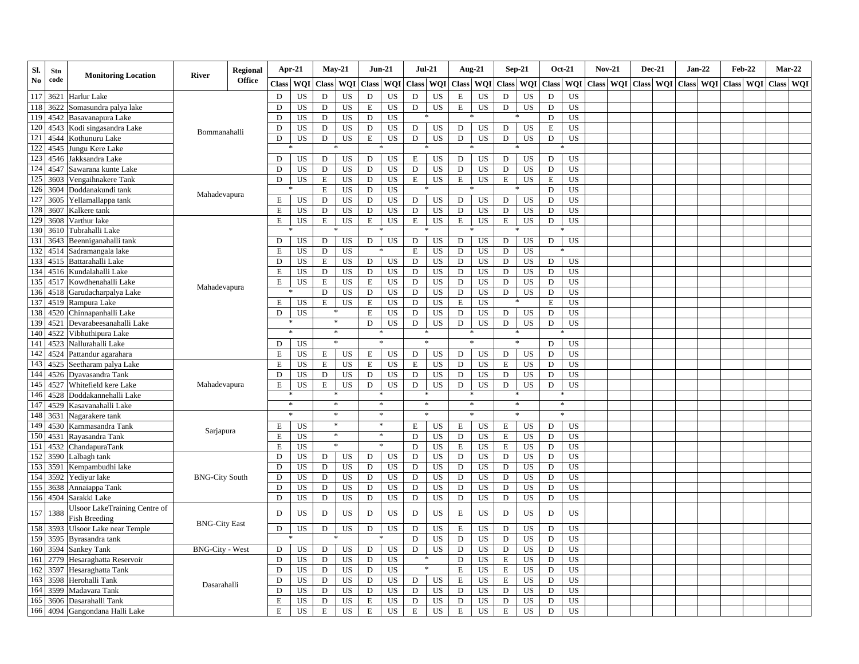| Sl.           | Stn  | <b>Monitoring Location</b>                     | <b>River</b>           | <b>Regional</b> | Apr-21        |                 |              | $May-21$   | $Jun-21$     |                  | $Jul-21$     |            | Aug-21       |            | $Sep-21$     |            | $Oct-21$      |             | $Nov-21$     |            |              | <b>Dec-21</b> |              | $Jan-22$   |              | <b>Feb-22</b> | $Mar-22$     |            |
|---------------|------|------------------------------------------------|------------------------|-----------------|---------------|-----------------|--------------|------------|--------------|------------------|--------------|------------|--------------|------------|--------------|------------|---------------|-------------|--------------|------------|--------------|---------------|--------------|------------|--------------|---------------|--------------|------------|
| $\mathbf{No}$ | code |                                                |                        | <b>Office</b>   | <b>Class</b>  | <b>WOI</b>      | <b>Class</b> | <b>WOI</b> | <b>Class</b> | <b>WOI</b>       | <b>Class</b> | <b>WOI</b> | <b>Class</b> | <b>WOI</b> | <b>Class</b> | <b>WOI</b> | <b>Class</b>  | <b>WOI</b>  | <b>Class</b> | <b>WOI</b> | <b>Class</b> | <b>WOI</b>    | <b>Class</b> | <b>WOI</b> | <b>Class</b> | <b>WOI</b>    | <b>Class</b> | <b>WOI</b> |
| 117           | 362  | Harlur Lake                                    |                        |                 | D             | US              | D            | <b>US</b>  | D            | <b>US</b>        | D            | US         | E            | US         | D            | US         | D             | US          |              |            |              |               |              |            |              |               |              |            |
| 118           | 362' | Somasundra palya lake                          |                        |                 | D             | US              | D            | <b>US</b>  | E            | US               | D            | <b>US</b>  | E            | <b>US</b>  | D            | US         | D             | US          |              |            |              |               |              |            |              |               |              |            |
| 119           | 4542 | Basavanapura Lake                              |                        |                 | D             | <b>US</b>       | D            | <b>US</b>  | $\mathbf D$  | $\overline{US}$  |              |            |              |            |              |            | D             | US          |              |            |              |               |              |            |              |               |              |            |
| 120           | 4543 | Kodi singasandra Lake                          | Bommanahalli           |                 | D             | US              | D            | US         | D            | <b>US</b>        | D            | US         | D            | US         | D            | US         | $\mathbf E$   | <b>US</b>   |              |            |              |               |              |            |              |               |              |            |
| 121           | 4544 | Kothunuru Lake                                 |                        |                 | D             | US              | D            | US.        | $\mathbf E$  | <b>US</b>        | D            | US         | D            | <b>US</b>  | D            | <b>US</b>  | D             | <b>US</b>   |              |            |              |               |              |            |              |               |              |            |
| 122           | 4545 | Jungu Kere Lake                                |                        |                 |               |                 |              |            |              |                  |              |            |              |            |              |            |               |             |              |            |              |               |              |            |              |               |              |            |
| 123           | 4546 | Jakksandra Lake                                |                        |                 | ${\bf D}$     | <b>US</b>       | ${\bf D}$    | US         | D            | US               | Е            | US         | ${\bf D}$    | <b>US</b>  | D            | <b>US</b>  | D             | <b>US</b>   |              |            |              |               |              |            |              |               |              |            |
| 124           | 4547 | Sawarana kunte Lake                            |                        |                 | $\mathbf D$   | US              | $\mathbf D$  | US         | D            | <b>US</b>        | D            | US         | ${\rm D}$    | US         | $\mathbf D$  | US         | ${\rm D}$     | <b>US</b>   |              |            |              |               |              |            |              |               |              |            |
| 125           | 3603 | Vengaihnakere Tank                             |                        |                 | D             | US              | E            | US         | D            | US               | E            | US         | $\mathbf E$  | US         | E            | <b>US</b>  | E             | <b>US</b>   |              |            |              |               |              |            |              |               |              |            |
| 126           | 3604 | Doddanakundi tank                              | Mahadevapura           |                 |               |                 | E            | <b>US</b>  | D            | <b>US</b>        |              |            |              |            |              |            | D             | <b>US</b>   |              |            |              |               |              |            |              |               |              |            |
| 127           | 3605 | Yellamallappa tank                             |                        |                 | E             | US              | D            | US         | D            | US               | D            | US         | ${\bf D}$    | US         | D            | US         | D             | US          |              |            |              |               |              |            |              |               |              |            |
| 128           | 3607 | Kalkere tank                                   |                        |                 | E             | <b>US</b>       | $\mathbf D$  | US         | D            | <b>US</b>        | D            | US         | $\mathbf D$  | US         | $\mathbf D$  | <b>US</b>  | D             | US          |              |            |              |               |              |            |              |               |              |            |
| 129           | 3608 | Varthur lake                                   |                        |                 | E             | US              | $\mathbf E$  | US.        | $\mathbf E$  | <b>US</b>        | E            | US         | Е            | US         | E            | US         | D             | <b>US</b>   |              |            |              |               |              |            |              |               |              |            |
| 130           | 361  | Tubrahalli Lake                                |                        |                 |               |                 |              |            |              |                  |              |            |              |            |              |            |               |             |              |            |              |               |              |            |              |               |              |            |
| 131           | 3643 | Beenniganahalli tank                           |                        |                 | $\mathbf D$   | US              | D            | US         | D            | US               | D            | US         | ${\bf D}$    | US         | D            | <b>US</b>  | ${\rm D}$     | <b>US</b>   |              |            |              |               |              |            |              |               |              |            |
| 132           | 4514 | Sadramangala lake                              |                        |                 | E             | US              | D            | <b>US</b>  |              |                  | $\mathbf E$  | US         | D            | US         | D            | <b>US</b>  |               |             |              |            |              |               |              |            |              |               |              |            |
| 133           | 4515 | Battarahalli Lake                              |                        |                 | D             | US              | $\mathbf E$  | US         | D            | US               | D            | US         | D            | US         | D            | US         | $\mathbf D$   | US          |              |            |              |               |              |            |              |               |              |            |
| 134           | 4516 | Kundalahalli Lake                              |                        |                 | $\mathbf E$   | US              | D            | <b>US</b>  | D            | US               | D            | <b>US</b>  | D            | US         | D            | <b>US</b>  | D             | <b>US</b>   |              |            |              |               |              |            |              |               |              |            |
| 135           | 4517 | Kowdhenahalli Lake                             | Mahadevapura           |                 | E             | <b>US</b>       | E            | US         | E            | <b>US</b>        | $\mathbf D$  | US         | D            | US         | D            | <b>US</b>  | $\mathbf D$   | <b>US</b>   |              |            |              |               |              |            |              |               |              |            |
| 136           | 4518 | Garudacharpalya Lake                           |                        |                 |               |                 | D            | US         | D            | <b>US</b>        | D            | US         | ${\bf D}$    | US         | $\mathbf D$  | <b>US</b>  | D             | <b>US</b>   |              |            |              |               |              |            |              |               |              |            |
| 137           | 4519 | Rampura Lake                                   |                        |                 | E             | US              | $\mathbf E$  | <b>US</b>  | $\mathbf E$  | US               | D            | US         | E            | US         |              |            | E             | US          |              |            |              |               |              |            |              |               |              |            |
| 138           | 4520 | Chinnapanhalli Lake                            |                        |                 | D             | <b>US</b>       |              |            | E            | <b>US</b>        | D            | US         | D            | US         | $\mathbf D$  | US         | D             | <b>US</b>   |              |            |              |               |              |            |              |               |              |            |
| 139           | 452  | Devarabeesanahalli Lake                        |                        |                 |               |                 |              | $\ast$     | D            | US               | D            | US         | ${\bf D}$    | US         | $\mathbf D$  | US         | $\mathbf D$   | <b>US</b>   |              |            |              |               |              |            |              |               |              |            |
| 140           | 4522 | Vibhuthipura Lake                              |                        |                 |               |                 |              | $\star$    |              |                  |              |            |              |            |              |            |               |             |              |            |              |               |              |            |              |               |              |            |
| 141           | 4523 | Nallurahalli Lake                              |                        |                 | D             | <b>US</b>       |              | *          |              |                  |              |            |              |            |              |            | D             | <b>US</b>   |              |            |              |               |              |            |              |               |              |            |
| 142           | 4524 | Pattandur agarahara                            |                        |                 | $\mathbf E$   | US              | E            | US         | E            | US               | D            | US         | D            | US         | D            | US         | D             | <b>US</b>   |              |            |              |               |              |            |              |               |              |            |
| 143           | 4525 | Seetharam palya Lake                           |                        |                 | E             | US              | E            | US         | E            | <b>US</b>        | E            | US         | $\mathbf D$  | US         | E            | US         | D             | <b>US</b>   |              |            |              |               |              |            |              |               |              |            |
| 144           | 4526 | Dvavasandra Tank                               |                        |                 | D             | US              | $\mathbf D$  | US         | D            | <b>US</b>        | D            | US         | ${\bf D}$    | US         | D            | US         | $\mathbf D$   | US          |              |            |              |               |              |            |              |               |              |            |
| 145           | 4527 | Whitefield kere Lake                           | Mahadevapura           |                 | E             | <b>US</b>       | E            | <b>US</b>  | D            | <b>US</b>        | D            | <b>US</b>  | D            | <b>US</b>  | D            | <b>US</b>  | D             | <b>US</b>   |              |            |              |               |              |            |              |               |              |            |
| 146           | 4528 | Doddakannehalli Lake                           |                        |                 | $\ast$        |                 |              | $\ast$     |              | $\ast$           | $\ast$       |            | $\ast$       |            | $\ast$       |            | $\mathcal{R}$ |             |              |            |              |               |              |            |              |               |              |            |
| 147           | 4529 | Kasavanahalli Lake                             |                        |                 | $\mathcal{R}$ |                 |              | $\ast$     |              |                  | $\approx$    |            | $\ast$       |            | $\ast$       |            | $\approx$     |             |              |            |              |               |              |            |              |               |              |            |
| 148           | 3631 | Nagarakere tank                                |                        |                 |               |                 |              | $\ast$     |              | $\ast$<br>$\ast$ |              |            |              |            |              |            |               |             |              |            |              |               |              |            |              |               |              |            |
| 149           | 4530 | Kammasandra Tank                               | Sarjapura              |                 | $\mathbf E$   | US              |              | $\ast$     |              | $\ast$           | E            | US         | Е            | US         | E            | US         | D             | US          |              |            |              |               |              |            |              |               |              |            |
| 150           | 453  | Ravasandra Tank                                |                        |                 | $\mathbf E$   | <b>US</b>       |              | $\ast$     |              | $\ast$           | D            | US         | D            | US         | $\mathbf E$  | <b>US</b>  | D             | <b>US</b>   |              |            |              |               |              |            |              |               |              |            |
| 151           | 4532 | ChandapuraTank                                 |                        |                 | E             | US              |              |            |              |                  | $\mathbf D$  | US         | $\mathbf E$  | US         | Е            | US         | D             | <b>US</b>   |              |            |              |               |              |            |              |               |              |            |
| 152           | 3590 | albagh tank                                    |                        |                 | D             | US              | ${\rm D}$    | US         | D            | US               | D            | US         | $\mathbf D$  | US         | D            | US         | $\mathbf D$   | US          |              |            |              |               |              |            |              |               |              |            |
| 153           | 3591 | Kempambudhi lake                               |                        |                 | $\mathbf D$   | US              | $\mathbf D$  | US         | D            | <b>US</b>        | D            | <b>US</b>  | ${\bf D}$    | US         | D            | US         | $\mathbf D$   | <b>US</b>   |              |            |              |               |              |            |              |               |              |            |
| 154           | 3592 | Yediyur lake                                   | <b>BNG-City South</b>  |                 | D             | US<br><b>US</b> | D            | US         | D            | <b>US</b>        | D            | <b>US</b>  | D            | US         | D            | US<br>US   | D             | <b>US</b>   |              |            |              |               |              |            |              |               |              |            |
| 155           | 3638 | Annaiappa Tank                                 |                        |                 | D             |                 | D            | US         | D            | <b>US</b>        | D            | <b>US</b>  | D            | US         | D            |            | D             | US          |              |            |              |               |              |            |              |               |              |            |
| 156           | 4504 | Sarakki Lake                                   |                        |                 | D             | US              | $\mathbf D$  | <b>US</b>  | D            | <b>US</b>        | $\mathbf D$  | <b>US</b>  | $\mathbf D$  | US         | D            | US         | $\mathbf D$   | $_{\rm US}$ |              |            |              |               |              |            |              |               |              |            |
| 157           | 1388 | Jlsoor LakeTraining Centre of<br>Fish Breeding |                        |                 | D             | US              | D            | US         | D            | US               | D            | US         | $\mathbf E$  | US         | ${\bf D}$    | US         | D             | US          |              |            |              |               |              |            |              |               |              |            |
| 158           | 3593 | Ulsoor Lake near Temple                        | <b>BNG-City East</b>   |                 | D             | <b>US</b>       | D            | <b>US</b>  | D            | <b>US</b>        | D            | <b>US</b>  | $\mathbf E$  | US         | $\mathbf D$  | US         | D             | <b>US</b>   |              |            |              |               |              |            |              |               |              |            |
| 159           | 3595 | Byrasandra tank                                |                        |                 |               |                 |              | 冰          |              |                  | $\mathbf D$  | <b>US</b>  | ${\bf D}$    | US         | $\mathbf D$  | US         | D             | US          |              |            |              |               |              |            |              |               |              |            |
| 160           | 3594 | Sankey Tank                                    | <b>BNG-City - West</b> |                 | D             | US              | D            | US         | D            | US               | D            | US         | $\mathbf D$  | US         | D            | US         | D             | US          |              |            |              |               |              |            |              |               |              |            |
| 161           | 2779 | Hesaraghatta Reservoir                         |                        |                 | D             | US              | D            | US         | D            | US               |              |            | D            | US         | E            | US         | D             | <b>US</b>   |              |            |              |               |              |            |              |               |              |            |
| 162           | 3597 | Hesaraghatta Tank                              |                        |                 | D             | <b>US</b>       | D            | <b>US</b>  | D            | <b>US</b>        | s.           |            | $\mathbf E$  | US         | $\mathbf E$  | US         | D             | <b>US</b>   |              |            |              |               |              |            |              |               |              |            |
| 163           | 3598 | Herohalli Tank                                 |                        |                 | D             | US              | ${\bf D}$    | US         | ${\rm D}$    | US               | D            | US         | $\mathbf E$  | <b>US</b>  | E            | <b>US</b>  | ${\bf D}$     | US          |              |            |              |               |              |            |              |               |              |            |
| 164           | 3599 | Madavara Tank                                  | Dasarahalli            |                 | D             | US              | D            | US         | D            | <b>US</b>        | D            | US         | $\mathbf D$  | US         | D            | US         | D             | US          |              |            |              |               |              |            |              |               |              |            |
| 165           | 3606 | Dasarahalli Tank                               |                        |                 | E             | US              | D            | US         | E            | <b>US</b>        | D            | <b>US</b>  | D            | US         | D            | <b>US</b>  | D             | US          |              |            |              |               |              |            |              |               |              |            |
| 166           | 4094 | Gangondana Halli Lake                          |                        |                 | E             | US              | E            | <b>US</b>  | E            | <b>US</b>        | $\mathbf E$  | US         | E            | US         | E            | US         | D             | <b>US</b>   |              |            |              |               |              |            |              |               |              |            |
|               |      |                                                |                        |                 |               |                 |              |            |              |                  |              |            |              |            |              |            |               |             |              |            |              |               |              |            |              |               |              |            |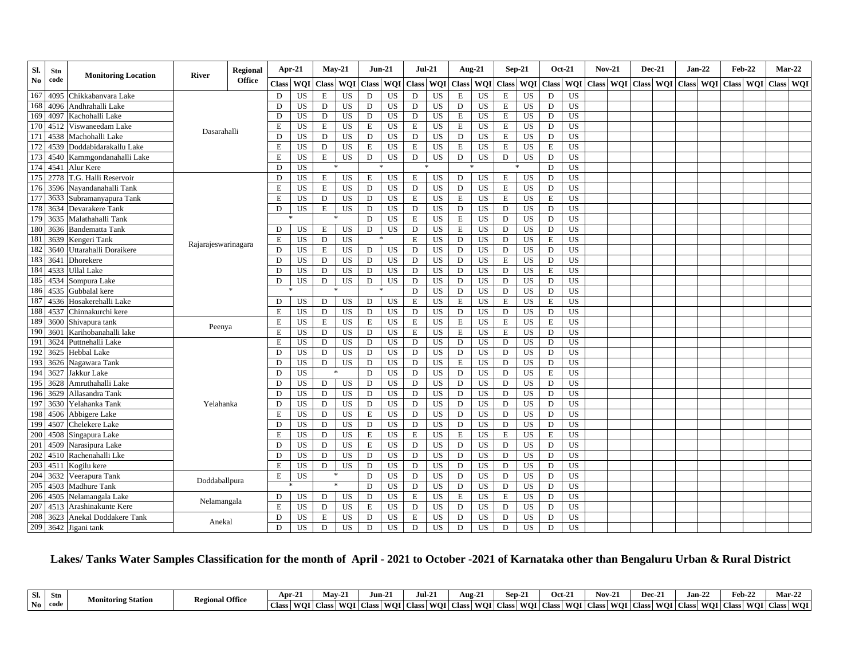| Sl.            | Stn  | <b>Monitoring Location</b> | <b>River</b>        | <b>Regional</b> |              | Apr-21     |              | $Mav-21$     | $Jun-21$      |           | $Jul-21$     |           | <b>Aug-21</b> |                 | $Sep-21$     |                 |              | <b>Oct-21</b>   | $Nov-21$ |           | $Dec-21$     |                  | $Jan-22$   | <b>Feb-22</b> | $Mar-22$      |  |
|----------------|------|----------------------------|---------------------|-----------------|--------------|------------|--------------|--------------|---------------|-----------|--------------|-----------|---------------|-----------------|--------------|-----------------|--------------|-----------------|----------|-----------|--------------|------------------|------------|---------------|---------------|--|
| N <sub>0</sub> | code |                            |                     | <b>Office</b>   | <b>Class</b> | <b>WOI</b> | <b>Class</b> |              | WOI Class WOI |           | <b>Class</b> | WQI       | <b>Class</b>  | <b>WQI</b>      | <b>Class</b> | <b>WOI</b>      | <b>Class</b> | <b>WOI</b>      |          | Class WOI | <b>Class</b> | <b>WOI</b> Class | <b>WOI</b> | <b>Class</b>  | WOI Class WOI |  |
| 167            | 4095 | Chikkabanyara Lake         |                     |                 | D            | US         | Е            | US           | D             | <b>US</b> | D            | US        | Ε             | US              | Е            | US              | D            | US              |          |           |              |                  |            |               |               |  |
| 168            | 4096 | Andhrahalli Lake           |                     |                 | D            | US         | D            | US.          | D             | <b>US</b> | D            | US        | D             | US              | E            | US              | D            | <b>US</b>       |          |           |              |                  |            |               |               |  |
| 169            | 4097 | Kachohalli Lake            |                     |                 | D            | <b>US</b>  | D            | US           | D             | US        | D            | US        | E             | US              | E            | US              | D            | US              |          |           |              |                  |            |               |               |  |
| 170            | 4512 | Viswaneedam Lake           | Dasarahalli         |                 | E            | <b>US</b>  | Е            | US           | E             | <b>US</b> | E            | US        | $\mathbf E$   | US              | Е            | <b>US</b>       | D            | US              |          |           |              |                  |            |               |               |  |
| 171            | 4538 | Machohalli Lake            |                     |                 | D            | US         | D            | US           | ${\rm D}$     | US        | D            | US        | D             | <b>US</b>       | $\mathbf E$  | US              | D            | <b>US</b>       |          |           |              |                  |            |               |               |  |
| 172            | 4539 | Doddabidarakallu Lake      |                     |                 | E            | US         | D            | <b>US</b>    | E             | <b>US</b> | E            | US        | E             | US              | Е            | US              | E            | <b>US</b>       |          |           |              |                  |            |               |               |  |
| 173            | 4540 | Kammgondanahalli Lake      |                     |                 | E            | US         | E            | <b>US</b>    | D             | US        | D            | US        | D             | US              | D            | US              | D            | <b>US</b>       |          |           |              |                  |            |               |               |  |
| 174            |      | 4541 Alur Kere             |                     |                 | D            | US         |              |              |               |           |              |           |               |                 |              |                 | D            | <b>US</b>       |          |           |              |                  |            |               |               |  |
| 175            | 2778 | T.G. Halli Reservoir       |                     |                 | D            | <b>US</b>  | E            | <b>US</b>    | E             | US.       | E            | US        | D             | US              | $\,$ E       | <b>US</b>       | D            | <b>US</b>       |          |           |              |                  |            |               |               |  |
| 176            | 3596 | Nayandanahalli Tank        |                     |                 | $\mathbf E$  | US         | $\mathbf E$  | <b>US</b>    | D             | <b>US</b> | $\mathbf D$  | US        | D             | US              | $\,$ E       | <b>US</b>       | D            | US              |          |           |              |                  |            |               |               |  |
| 177            | 3633 | Subramanyapura Tank        |                     |                 | E            | US         | D            | <b>US</b>    | ${\rm D}$     | US        | $\mathbf E$  | <b>US</b> | $\mathbf E$   | US              | $\,$ E       | US              | $\,$ E       | $\overline{US}$ |          |           |              |                  |            |               |               |  |
| 178            | 3634 | Devarakere Tank            |                     |                 | D            | US         | E            | <b>US</b>    | D             | <b>US</b> | D            | US        | D             | US              | D            | <b>US</b>       | D            | US              |          |           |              |                  |            |               |               |  |
| 179            | 3635 | Malathahalli Tank          |                     |                 |              |            |              | 冰            | D             | <b>US</b> | E            | US        | E             | US              | D            | US              | D            | US              |          |           |              |                  |            |               |               |  |
| 180            | 3636 | <b>Bandematta Tank</b>     |                     |                 | D            | US         | E            | <b>US</b>    | D             | <b>US</b> | D            | <b>US</b> | $\mathbf E$   | US              | D            | US              | D            | <b>US</b>       |          |           |              |                  |            |               |               |  |
| 181            | 3639 | Kengeri Tank               | Rajarajeswarinagara |                 | E            | US         | D            | <b>US</b>    |               |           | E            | US        | D             | US              | D            | US              | $\mathbf E$  | <b>US</b>       |          |           |              |                  |            |               |               |  |
| 182            | 3640 | Uttarahalli Doraikere      |                     |                 | D            | US         | E            | US           | D             | US        | D            | US        | D             | <b>US</b>       | D            | <b>US</b>       | D            | US              |          |           |              |                  |            |               |               |  |
| 183            | 3641 | Dhorekere                  |                     |                 | D            | US         | D            | <b>US</b>    | D             | US        | $\mathbf D$  | US        | D             | US              | E            | <b>US</b>       | D            | US              |          |           |              |                  |            |               |               |  |
| 184            | 4533 | <b>Ullal Lake</b>          |                     |                 | D            | US         | D            | <b>US</b>    | D             | <b>US</b> | D            | US        | D             | US              | D            | US              | $\mathbf E$  | US              |          |           |              |                  |            |               |               |  |
| 185            | 4534 | Sompura Lake               |                     |                 | D            | US         | D            | US           | D             | <b>US</b> | D            | US        | D             | US              | D            | US              | D            | <b>US</b>       |          |           |              |                  |            |               |               |  |
| 186            | 4535 | Gubbalal kere              |                     |                 |              |            |              | $\mathbf{x}$ | $\ast$        |           | D            | US        | D             | US              | D            | US              | D            | <b>US</b>       |          |           |              |                  |            |               |               |  |
| 187            | 4536 | Hosakerehalli Lake         |                     |                 | D            | US         | D            | US.          | D             | US        | Е            | US        | E             | US              | E            | <b>US</b>       | E            | <b>US</b>       |          |           |              |                  |            |               |               |  |
| 188            | 4537 | Chinnakurchi kere          |                     |                 | Ε            | US         | D            | <b>US</b>    | D             | <b>US</b> | D            | US        | D             | US              | D            | US              | D            | <b>US</b>       |          |           |              |                  |            |               |               |  |
| 189            | 3600 | Shivapura tank             | Peenya              |                 | E            | <b>US</b>  | Е            | <b>US</b>    | E             | <b>US</b> | Е            | US        | ${\bf E}$     | $\overline{US}$ | $\,$ E       | $\overline{US}$ | E            | $\overline{US}$ |          |           |              |                  |            |               |               |  |
| 190            | 3601 | Karihobanahalli lake       |                     |                 | E            | US         | D            | US           | D             | <b>US</b> | E            | US        | $\mathbf E$   | US              | $\,$ E       | US              | D            | <b>US</b>       |          |           |              |                  |            |               |               |  |
| 191            | 3624 | Puttnehalli Lake           |                     |                 | E            | US         | D            | <b>US</b>    | D             | US        | D            | <b>US</b> | D             | US              | D            | <b>US</b>       | D            | <b>US</b>       |          |           |              |                  |            |               |               |  |
| 192            | 3625 | <b>Hebbal Lake</b>         |                     |                 | D            | US         | D            | US           | D             | <b>US</b> | D            | US        | D             | US              | D            | US              | D            | <b>US</b>       |          |           |              |                  |            |               |               |  |
| 193            | 3626 | Nagawara Tank              |                     |                 | D            | US         | D            | <b>US</b>    | D             | <b>US</b> | D            | US        | $\mathbf E$   | US              | D            | US              | D            | <b>US</b>       |          |           |              |                  |            |               |               |  |
| 194            | 3627 | Jakkur Lake                |                     |                 | D            | <b>US</b>  |              | *            | D             | <b>US</b> | D            | <b>US</b> | D             | US              | D            | <b>US</b>       | E            | <b>US</b>       |          |           |              |                  |            |               |               |  |
| 195            | 3628 | Amruthahalli Lake          |                     |                 | D            | US         | D            | US.          | D             | <b>US</b> | D            | US        | D             | US              | D            | US              | D            | <b>US</b>       |          |           |              |                  |            |               |               |  |
| 196            | 3629 | Allasandra Tank            |                     |                 | D            | <b>US</b>  | D            | US           | D             | <b>US</b> | D            | US        | D             | US              | D            | US              | D            | $\overline{US}$ |          |           |              |                  |            |               |               |  |
| 197            | 3630 | Yelahanka Tank             | Yelahanka           |                 | $\mathbf D$  | US         | D            | <b>US</b>    | $\mathbf D$   | US        | D            | <b>US</b> | D             | US              | D            | US              | D            | <b>US</b>       |          |           |              |                  |            |               |               |  |
| 198            | 4506 | Abbigere Lake              |                     |                 | E            | US         | D            | <b>US</b>    | E             | <b>US</b> | D            | US        | D             | US              | D            | US              | D            | <b>US</b>       |          |           |              |                  |            |               |               |  |
| 199            | 4507 | <b>Chelekere Lake</b>      |                     |                 | D            | US         | D            | US           | D             | US        | D            | US        | D             | US              | D            | US              | D            | <b>US</b>       |          |           |              |                  |            |               |               |  |
| 200            | 4508 | Singapura Lake             |                     |                 | E            | US         | D            | US           | E             | <b>US</b> | E            | US        | E             | US              | E            | <b>US</b>       | E            | <b>US</b>       |          |           |              |                  |            |               |               |  |
| 201            | 4509 | Narasipura Lake            |                     |                 | D            | US         | D            | <b>US</b>    | E             | US        | D            | <b>US</b> | D             | US              | D            | US              | D            | <b>US</b>       |          |           |              |                  |            |               |               |  |
| 202            | 4510 | Rachenahalli Lke           |                     |                 | D            | US         | D            | <b>US</b>    | D             | US        | D            | <b>US</b> | D             | US              | D            | US              | D            | $\overline{US}$ |          |           |              |                  |            |               |               |  |
| 203            | 4511 | Kogilu kere                |                     |                 | $\mathbf E$  | <b>US</b>  | $\mathbf D$  | <b>US</b>    | D             | US        | D            | US        | D             | US              | D            | US              | D            | <b>US</b>       |          |           |              |                  |            |               |               |  |
| 204            | 3632 | Veerapura Tank             | Doddaballpura       |                 | $\mathbf E$  | US         |              |              | D             | US        | D            | US        | D             | US              | D            | US              | D            | US              |          |           |              |                  |            |               |               |  |
| 205            | 4503 | <b>Madhure Tank</b>        |                     |                 |              |            |              | $*$          | D             | US        | D            | US        | D             | <b>US</b>       | D            | US              | D            | <b>US</b>       |          |           |              |                  |            |               |               |  |
| 206            | 4505 | Nelamangala Lake           | Nelamangala         |                 | D            | US         | D            | US.          | D             | <b>US</b> | E            | US        | E             | US              | E            | US              | D            | US              |          |           |              |                  |            |               |               |  |
| 207            | 4513 | Arashinakunte Kere         |                     |                 | E            | US         | D            | <b>US</b>    | E             | US        | D            | US        | D             | US              | D            | US              | D            | <b>US</b>       |          |           |              |                  |            |               |               |  |
| 208            | 3623 | Anekal Doddakere Tank      | Anekal              |                 | D            | US         | Е            | <b>US</b>    | D             | <b>US</b> | E            | <b>US</b> | D             | US              | D            | US              | D            | <b>US</b>       |          |           |              |                  |            |               |               |  |
| 209            |      | 3642 Jigani tank           |                     |                 | $\mathbf D$  | US         | D            | <b>US</b>    | D             | <b>US</b> | $\mathbf D$  | <b>US</b> | D             | US              | D            | <b>US</b>       | D            | US              |          |           |              |                  |            |               |               |  |

# **Lakes/ Tanks Water Samples Classification for the month of April - 2021 to October -2021 of Karnataka other than Bengaluru Urban & Rural District**

| Sl. | - Str | <b>Monitoring Station</b> | <b>Regional Office</b> | Apr-2                     | Mav-2           | Jun-21          | $Jul-21$             | Aug-.                | $^{\bullet}$<br>Sep-2      | $\sim$<br>Oct-2. | $\sim$<br>$\overline{\phantom{a}}$<br>.<br>NOV-2 | Dec-2.               | $tan - 2$ | reb 2.                        | Mar-2.                          |
|-----|-------|---------------------------|------------------------|---------------------------|-----------------|-----------------|----------------------|----------------------|----------------------------|------------------|--------------------------------------------------|----------------------|-----------|-------------------------------|---------------------------------|
| No. | code  |                           |                        | <b>Class</b><br><b>WO</b> | WOI  <br>aass l | WOI.<br>Class I | WOI.<br><b>Class</b> | <b>WOI</b><br>'Class | <b>WOI</b><br><b>Class</b> | lass WOI         | WOL C<br>Class I                                 | WOI.<br><b>Class</b> | Class     | <b>WO</b><br><b>WOI</b> Class | <b>WOI</b><br>$\sim$<br>LU JASS |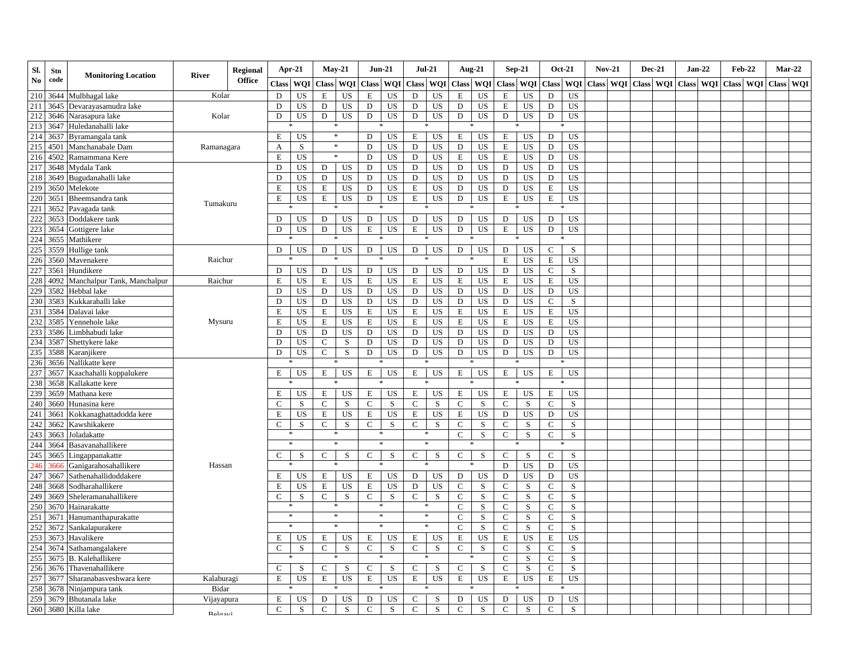| Sl. | Stn  | <b>Monitoring Location</b>  | <b>River</b> | <b>Regional</b> | Apr-21        |            | $Mav-21$      |             | $Jun-21$      |             | <b>Jul-21</b> |           | <b>Aug-21</b> |           |              | <b>Sep-21</b> | <b>Oct-21</b>               | $Nov-21$            | Dec-21 | $Jan-22$  | <b>Feb-22</b> | Mar-22    |  |
|-----|------|-----------------------------|--------------|-----------------|---------------|------------|---------------|-------------|---------------|-------------|---------------|-----------|---------------|-----------|--------------|---------------|-----------------------------|---------------------|--------|-----------|---------------|-----------|--|
| No  | code |                             |              | <b>Office</b>   | <b>Class</b>  | <b>WOI</b> | <b>Class</b>  | <b>WOI</b>  |               | Class WOI   | <b>Class</b>  | WQI       | Class WQI     |           | Class WQI    |               | Class WOI                   | Class WOI Class WOI |        | Class WOI | Class WOI     | Class WOI |  |
| 210 | 3644 | Mulbhagal lake              | Kolar        |                 | D             | US         | E             | US          | E             | US          | D             | US        | E             | US        | E            | US            | <b>US</b><br>D              |                     |        |           |               |           |  |
| 211 | 3645 | Devarayasamudra lake        |              |                 | D             | US         | D             | US          | D             | US          | $\mathbf D$   | US        | D             | US        | E            | US            | D<br><b>US</b>              |                     |        |           |               |           |  |
| 212 | 3646 | Narasapura lake             | Kolar        |                 | D             | US         | D             | US          | D             | US          | D             | US        | D             | US        | D            | US            | D<br>US                     |                     |        |           |               |           |  |
| 213 | 3647 | Huledanahalli lake          |              |                 |               |            |               | $\ast$      |               |             |               |           |               |           |              |               |                             |                     |        |           |               |           |  |
| 214 | 3637 | Byramangala tank            |              |                 | Е             | <b>US</b>  |               | $\ast$      | D             | US          | E             | US        | Е             | US        | Е            | US            | US<br>D                     |                     |        |           |               |           |  |
| 215 | 4501 | Manchanabale Dam            | Ramanagara   |                 | A             | S          |               | $\ast$      | D             | US          | D             | US        | D             | US        | E            | US            | D<br>US                     |                     |        |           |               |           |  |
| 216 | 4502 | Ramammana Kere              |              |                 | Е             | US         |               | *           | D             | US          | D             | US        | E             | US        | Ε            | US            | D<br>US                     |                     |        |           |               |           |  |
| 217 | 3648 | Mydala Tank                 |              |                 | D             | <b>US</b>  | D             | US          | D             | US          | D             | US        | D             | US        | D            | US            | <b>US</b><br>D              |                     |        |           |               |           |  |
| 218 | 3649 | Bugudanahalli lake          |              |                 | D             | US         | D             | US          | D             | US          | D             | US        | D             | US        | $\mathbf D$  | US            | D<br>US                     |                     |        |           |               |           |  |
| 219 | 3650 | Melekote                    |              |                 | Ε             | US         | E             | US          | D             | US          | E             | US        | D             | US        | D            | US            | E<br>US                     |                     |        |           |               |           |  |
| 220 | 3651 | Bheemsandra tank            | Tumakuru     |                 | Е             | US         | Е             | US          | D             | US          | Е             | US        | D             | US        | E            | US            | Е<br>US                     |                     |        |           |               |           |  |
| 221 | 3652 | Pavagada tank               |              |                 |               |            |               |             |               |             |               |           |               |           |              |               |                             |                     |        |           |               |           |  |
| 222 | 3653 | Doddakere tank              |              |                 | D             | US         | D             | US          | D             | US          | D             | US        | D             | US        | D            | US            | D<br>US                     |                     |        |           |               |           |  |
| 223 | 3654 | Gottigere lake              |              |                 | D             | US         | D             | US          | E             | US          | E             | US        | D             | US        | E            | US            | $\mathbf D$<br>US           |                     |        |           |               |           |  |
| 224 | 3655 | Mathikere                   |              |                 |               |            |               |             |               |             |               |           |               |           |              |               |                             |                     |        |           |               |           |  |
| 225 | 3559 | Hullige tank                |              |                 | D             | US         | D             | US          | D             | US          | D             | US        | D             | US        | D            | US            | $\mathsf{C}$<br>S           |                     |        |           |               |           |  |
| 226 | 3560 | Mavenakere                  | Raichur      |                 |               |            |               | 冰           |               |             |               |           |               |           | E            | US            | US<br>E                     |                     |        |           |               |           |  |
| 227 | 3561 | Hundikere                   |              |                 | D             | US         | D             | US          | D             | US          | D             | US        | D             | US        | D            | US            | $\mathbf C$<br>$\mathbf S$  |                     |        |           |               |           |  |
| 228 | 4092 | Manchalpur Tank, Manchalpur | Raichur      |                 | E             | US         | $\mathbf E$   | US          | E             | US          | Е             | US        | E             | US        | E            | US            | Е<br><b>US</b>              |                     |        |           |               |           |  |
| 229 | 3582 | Hebbal lake                 |              |                 | D             | US         | D             | US          | D             | US          | D             | US        | D             | US        | D            | US            | <b>US</b><br>D              |                     |        |           |               |           |  |
| 230 | 3583 | Kukkarahalli lake           |              |                 | D             | US         | D             | US          | D             | US          | D             | US        | D             | US        | D            | <b>US</b>     | $\mathbf S$<br>$\mathsf{C}$ |                     |        |           |               |           |  |
| 231 | 3584 | Dalavai lake                |              |                 | E             | US         | E             | US          | E             | US          | Е             | US        | $\,$ E        | US        | E            | US            | $\mathbf E$<br>US           |                     |        |           |               |           |  |
| 232 | 3585 | Yennehole lake              | Mysuru       |                 | E             | US         | E             | US          | E             | US          | Е             | US        | E             | US        | E            | US            | US<br>E                     |                     |        |           |               |           |  |
| 233 | 3586 | Limbhabudi lake             |              |                 | D             | <b>US</b>  | D             | US          | D             | US          | D             | US        | D             | US        | D            | US            | <b>US</b><br>D              |                     |        |           |               |           |  |
| 234 | 3587 | Shettykere lake             |              |                 | D             | <b>US</b>  | $\mathbf C$   | ${\bf S}$   | D             | <b>US</b>   | ${\bf D}$     | <b>US</b> | $\mathbf D$   | US        | D            | US            | ${\rm D}$<br>US             |                     |        |           |               |           |  |
| 235 | 3588 | Karanjikere                 |              |                 | D             | US         | $\mathbf C$   | ${\bf S}$   | D             | <b>US</b>   | ${\bf D}$     | US        | $\mathbf D$   | <b>US</b> | D            | <b>US</b>     | <b>US</b><br>D              |                     |        |           |               |           |  |
| 236 | 3656 | Nallikatte kere             |              |                 |               |            |               | *           |               |             |               |           |               |           |              |               |                             |                     |        |           |               |           |  |
| 237 | 3657 | Kaachahalli koppalukere     |              |                 | $\mathbf E$   | US         | E             | US          | E             | US          | Е             | US        | $\mathbf E$   | US        | Е            | US            | E<br>US                     |                     |        |           |               |           |  |
| 238 | 3658 | Kallakatte kere             |              |                 |               |            |               |             |               |             |               |           |               |           |              |               |                             |                     |        |           |               |           |  |
| 239 | 3659 | Mathana kere                |              |                 | Ε             | US         | E             | US          | Е             | US          | Е             | US        | E             | US        | E            | US            | E<br>US                     |                     |        |           |               |           |  |
| 240 | 3660 | Hunasina kere               |              |                 | $\mathsf{C}$  | S          | $\mathbf C$   | ${\bf S}$   | $\mathbf C$   | ${\bf S}$   | $\mathbf C$   | S         | $\mathbf C$   | S         | $\mathbf C$  | ${\bf S}$     | $\mathbf C$<br>$\mathbf S$  |                     |        |           |               |           |  |
| 241 | 3661 | Kokkanaghattadodda kere     |              |                 | E             | US.        | E             | US          | Е             | US          | E             | US        | E             | US        | D            | US            | D<br>US                     |                     |        |           |               |           |  |
| 242 | 3662 | Kawshikakere                |              |                 | $\mathbf C$   | S          | $\mathsf{C}$  | S           | $\mathbf C$   | S           | $\mathbf C$   | S         | $\mathsf{C}$  | $\,$ S    | $\mathsf{C}$ | S             | $\mathsf{C}$<br>S           |                     |        |           |               |           |  |
| 243 | 3663 | Joladakatte                 |              |                 | *             |            |               | $\ast$      |               | *           | $\ast$        |           | $\mathcal{C}$ | S         | $\mathsf{C}$ | S             | $\mathsf{C}$<br>S           |                     |        |           |               |           |  |
| 244 | 3664 | Basavanahallikere           |              |                 | $\ast$        |            |               | $\ast$      | $\ast$        |             | $\ast$        |           |               |           |              |               |                             |                     |        |           |               |           |  |
| 245 | 3665 | ingappanakatte              |              |                 | C             | S          | $\mathsf{C}$  | S           | $\mathbf C$   | S           | C             | S         | $\mathbf{C}$  | S         | $\mathbf C$  | S             | $\mathbf C$<br>$\mathbf S$  |                     |        |           |               |           |  |
| 246 | 366  | Ganigarahosahallikere       | Hassan       |                 |               |            |               |             |               |             |               |           |               |           | $\mathbf D$  | US            | US<br>D                     |                     |        |           |               |           |  |
| 247 | 3667 | Sathenahallidoddakere       |              |                 | Ε             | US         | E             | US          | Ε             | US          | D             | US        | D             | US        | $\mathbf D$  | US            | D<br><b>US</b>              |                     |        |           |               |           |  |
| 248 | 3668 | Sodharahallikere            |              |                 | E             | US         | $\mathbf E$   | US          | E             | US          | ${\bf D}$     | US        | $\mathbf C$   | S         | $\mathsf C$  | S             | $\mathsf C$<br>$\mathbf S$  |                     |        |           |               |           |  |
| 249 | 3669 | Sheleramanahallikere        |              |                 | C             | S          | $\mathcal{C}$ | ${\bf S}$   | $\mathbf C$   | S           | $\mathbf C$   | $\,$ S    | $\mathbf C$   | S         | $\mathbf C$  | $\mathbf S$   | $\mathbf C$<br>$\mathbf S$  |                     |        |           |               |           |  |
| 250 | 3670 | Hainarakatte                |              |                 |               |            |               | 冰           |               |             | $\ast$        |           | $\mathsf{C}$  | S         | $\mathbf C$  | S             | $\mathbf C$<br>$\mathbf S$  |                     |        |           |               |           |  |
| 251 | 367  | Hanumanthapurakatte         |              |                 | *             |            |               | $\ast$      | $\ast$        |             | $\ast$        |           | $\mathsf{C}$  | $\,$ S    | $\mathsf C$  | S             | $\mathsf C$<br>S            |                     |        |           |               |           |  |
| 252 | 3672 | Sankalapurakere             |              |                 | $\frac{1}{2}$ |            | $\ast$        |             | $\ast$        |             | $\ast$        |           | $\mathbf C$   | S         | $\mathsf{C}$ | S             | $\mathbf S$<br>$\mathsf{C}$ |                     |        |           |               |           |  |
| 253 | 3673 | Havalikere                  |              |                 | Ε             | US.        | $\mathbf E$   | US          | Ε             | US          | Е             | US        | $\mathbf E$   | US        | E            | US            | $\mathbf E$<br><b>US</b>    |                     |        |           |               |           |  |
| 254 | 3674 | Sathamangalakere            |              |                 | $\mathsf{C}$  | $\rm S$    | $\mathsf{C}$  | S           | $\mathcal{C}$ | ${\bf S}$   | $\mathsf{C}$  | $\,$ S    | $\mathsf{C}$  | $\,$ S    | $\mathsf{C}$ | $\mathbf S$   | $\mathbf S$<br>$\mathsf{C}$ |                     |        |           |               |           |  |
| 255 | 3675 | <b>B.</b> Kalehallikere     |              |                 |               |            |               | *           |               |             | *             |           |               |           | $\mathsf{C}$ | S             | $\mathsf{C}$<br>S           |                     |        |           |               |           |  |
| 256 | 3676 | Thavenahallikere            |              |                 | $\mathsf{C}$  | S          | $\mathsf{C}$  | S           | $\mathsf{C}$  | S           | $\mathbf C$   | S         | $\mathsf{C}$  | S         | $\mathsf C$  | S             | $\mathbf C$<br>$\mathbf S$  |                     |        |           |               |           |  |
| 257 | 3677 | Sharanabasveshwara kere     | Kalaburagi   |                 | Ε             | US         | Е             | US          | Е             | US          | Е             | US        | E             | US        | Е            | US            | Е<br>US                     |                     |        |           |               |           |  |
| 258 | 3678 | Ninjampura tank             | Bidar        |                 |               |            |               |             |               |             |               |           |               |           |              |               |                             |                     |        |           |               |           |  |
| 259 | 3679 | Bhutanala lake              | Vijayapura   |                 | $\mathbf E$   | US         | D             | US          | D             | US          | ${\bf C}$     | S         | ${\bf D}$     | US        | D            | US            | D<br>US                     |                     |        |           |               |           |  |
| 260 | 3680 | Killa lake                  | Relasvi      |                 | $\mathsf{C}$  | S          | $\mathbf C$   | $\mathbf S$ | $\mathsf{C}$  | $\mathbf S$ | $\mathbf C$   | $\,$ S    | $\mathsf{C}$  | $\,$ S    | $\mathsf{C}$ | $\mathbf S$   | $\mathbf C$<br>$\mathbf S$  |                     |        |           |               |           |  |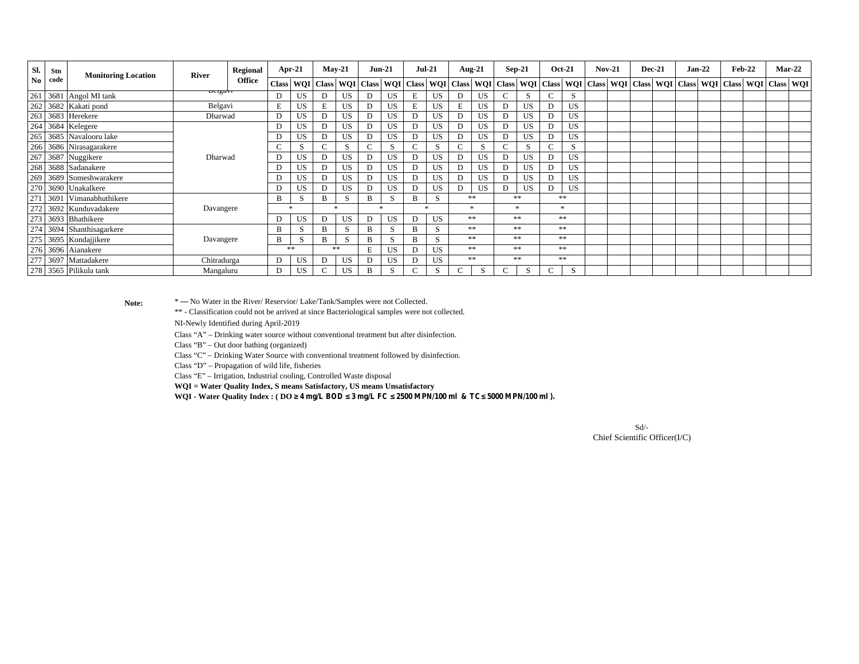| Sl.            | Stn  | <b>Monitoring Location</b> | <b>River</b> | Regional      |              | Apr-21 |   | $May-21$                                | <b>Jun-21</b>            |     | $Jul-21$ |              | Aug-21 |              |         | $Sep-21$  |        | <b>Oct-21</b> | <b>Nov-21</b> |  | <b>Dec-21</b> | $Jan-22$ | <b>Feb-22</b> | $Mar-22$                                                                                                            |  |
|----------------|------|----------------------------|--------------|---------------|--------------|--------|---|-----------------------------------------|--------------------------|-----|----------|--------------|--------|--------------|---------|-----------|--------|---------------|---------------|--|---------------|----------|---------------|---------------------------------------------------------------------------------------------------------------------|--|
| N <sub>0</sub> | code |                            |              | <b>Office</b> | <b>Class</b> |        |   | WQI   Class   WQI   Class   WQI   Class |                          |     |          |              |        |              |         |           |        |               |               |  |               |          |               | WQI   Class   WQI   Class   WQI   Class   WQI   Class   WQI   Class   WQI   Class   WQI   Class   WQI   Class   WQI |  |
| 261            |      | 3681 Angol MI tank         | Deigavi      |               | D            | US     | D | US.                                     | D                        | US  | Е        | US           | D      | US           | ◡       |           | $\sim$ | S             |               |  |               |          |               |                                                                                                                     |  |
|                |      | 262 3682 Kakati pond       | Belgavi      |               | E            | US     |   | US                                      |                          | US  | E        | <b>US</b>    |        | US           | D       | <b>US</b> |        | US            |               |  |               |          |               |                                                                                                                     |  |
|                |      | 263 3683 Herekere          | Dharwad      |               | D            | US     | D | US                                      |                          | US  | D        | US           | D      | US           | D       | <b>US</b> |        | US            |               |  |               |          |               |                                                                                                                     |  |
|                |      | 264 3684 Kelegere          |              |               | D            | US     | D | US                                      |                          | US  | D        | <b>US</b>    | D      | US           | D       | <b>US</b> | D      | US            |               |  |               |          |               |                                                                                                                     |  |
|                |      | 265 3685 Navalooru lake    |              |               | D            | US     | D | US                                      |                          | US  | D        | <b>US</b>    | D      | US           | D       | <b>US</b> |        | US            |               |  |               |          |               |                                                                                                                     |  |
|                |      | 266 3686 Nirasagarakere    |              |               | $\sim$       | ъ.     |   | S                                       | $\overline{\phantom{0}}$ | S   |          | S            |        | S            |         | S         | $\sim$ | <sub>S</sub>  |               |  |               |          |               |                                                                                                                     |  |
|                |      | 267 3687 Nuggikere         | Dharwad      |               | D            | US     | D | US                                      |                          | US. | D        | <b>US</b>    | D      | US           | D       | <b>US</b> |        | US            |               |  |               |          |               |                                                                                                                     |  |
|                |      | 268 3688 Sadanakere        |              |               | D            | US     | D | US.                                     | D                        | US  | D        | <b>US</b>    | D      | US           | D       | US        |        | US            |               |  |               |          |               |                                                                                                                     |  |
|                |      | 269 3689 Someshwarakere    |              |               |              | US     | D | US                                      |                          | US  | D        | US           | D      | US           | D       | US        |        | US            |               |  |               |          |               |                                                                                                                     |  |
|                |      | 270 3690 Unakalkere        |              |               | D            | US     | D | US.                                     |                          | US. | D        | <b>US</b>    | D      | US           | D       | US        |        | US            |               |  |               |          |               |                                                                                                                     |  |
| 271            |      | 3691 Vimanabhuthikere      |              |               | B            | ъ.     | R | <sup>S</sup>                            | B                        | S   | B        | <sub>S</sub> | **     |              |         | **        |        | **            |               |  |               |          |               |                                                                                                                     |  |
|                |      | 272 3692 Kunduvadakere     | Davangere    |               |              |        |   |                                         | 水                        |     | sk.      |              | 宋      |              | $\star$ |           |        |               |               |  |               |          |               |                                                                                                                     |  |
|                |      | 273 3693 Bhathikere        |              |               | D            | US     | D | US                                      |                          | US. | D        | <b>US</b>    | **     |              |         | **        |        | **            |               |  |               |          |               |                                                                                                                     |  |
|                |      | 274 3694 Shanthisagarkere  |              |               | B            | ъ.     |   | S                                       | B                        | S   | B        | S            | **     |              |         | **        |        | **            |               |  |               |          |               |                                                                                                                     |  |
|                |      | 275 3695 Kondajjikere      | Davangere    |               | B            | C.     | R | <sup>S</sup>                            | B                        | S   | B        | S            | **     |              |         | **        |        | **            |               |  |               |          |               |                                                                                                                     |  |
|                |      | 276 3696 Aianakere         |              |               |              | **     |   | **                                      | E                        | US. | D        | <b>US</b>    |        | **           |         | **        |        | **            |               |  |               |          |               |                                                                                                                     |  |
| 277            |      | 3697 Mattadakere           | Chitradurga  |               | D            | US     | D | US                                      |                          | US  |          | US           |        | **           |         | **        |        | **            |               |  |               |          |               |                                                                                                                     |  |
|                |      | 278 3565 Pilikula tank     | Mangaluru    |               | D            | US     |   | US                                      | B                        | S   | $\sim$   | S            |        | <sub>S</sub> |         | S         | $\sim$ | S             |               |  |               |          |               |                                                                                                                     |  |

\* — No Water in the River/ Reservior/ Lake/Tank/Samples were not Collected.

\*\* - Classification could not be arrived at since Bacteriological samples were not collected.

NI-Newly Identified during April-2019

 **Note:**

Class "A" – Drinking water source without conventional treatment but after disinfection.

Class "B" – Out door bathing (organized)

Class "C" – Drinking Water Source with conventional treatment followed by disinfection.

Class "D" – Propagation of wild life, fisheries

Class "E" – Irrigation, Industrial cooling, Controlled Waste disposal

**WQI = Water Quality Index, S means Satisfactory, US means Unsatisfactory**

**WQI - Water Quality Index : ( DO ≥ 4 mg/L BOD ≤ 3 mg/L FC ≤ 2500 MPN/100 ml & TC≤ 5000 MPN/100 ml ).**

Sd/- Chief Scientific Officer(I/C)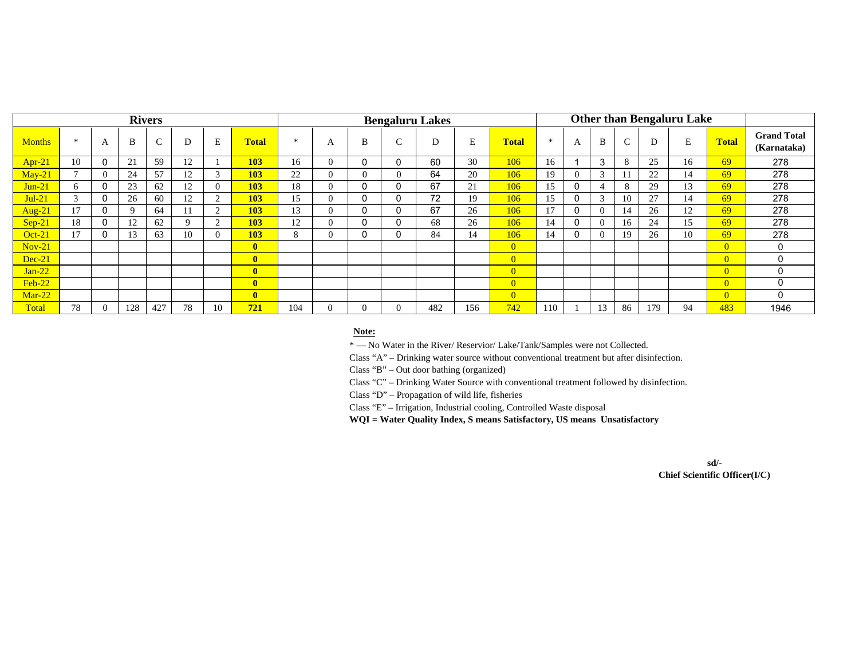|               |        |          |          | <b>Rivers</b> |    |    |                         |        |                |          |              | <b>Bengaluru Lakes</b> |     |                |     |          |                         |        |     | <b>Other than Bengaluru Lake</b> |                |                                   |
|---------------|--------|----------|----------|---------------|----|----|-------------------------|--------|----------------|----------|--------------|------------------------|-----|----------------|-----|----------|-------------------------|--------|-----|----------------------------------|----------------|-----------------------------------|
| <b>Months</b> | $\ast$ | A        | B        | $\sim$        | D  |    | <b>Total</b>            | $\ast$ | A              | B        | $\sim$<br>ι. |                        | E   | <b>Total</b>   | $*$ | A        | B                       | $\sim$ |     | E                                | <b>Total</b>   | <b>Grand Total</b><br>(Karnataka) |
| $Apr-21$      | 10     | 0        | 21       | 59            | 12 |    | <b>103</b>              | 16     | $_{0}$         | 0        |              | 60                     | 30  | 106            | 16  |          | 3                       | 8      | 25  | 16                               | 69             | 278                               |
| $Mav-21$      |        | $\Omega$ | 24       | 57            | 12 |    | 103                     | 22     | $_{0}$         | $\theta$ | $\theta$     | 64                     | 20  | 106            | 19  | 0        | $\sim$<br>$\rightarrow$ |        | 22  | 14                               | 69             | 278                               |
| $Jun-21$      | 6      | 0        | 23       | 62            | 12 |    | 103                     | 18     | $\overline{0}$ | 0        |              | 67                     | 21  | 106            | 15  | 0        |                         | 8      | 29  | 13                               | 69             | 278                               |
| $Jul-21$      | $\sim$ | $\Omega$ | 26       | 60            | 12 |    | 103                     | 15     | $\theta$       | $\Omega$ |              | 72                     | 19  | 106            | 15  | $\Omega$ | 3                       | 10     | 27  | 14                               | 69             | 278                               |
| Aug-21        | 17     | 0        | $\Omega$ | 64            |    |    | 103                     | 13     | 0              | 0        |              | 67                     | 26  | 106            | 17  | 0        | $\Omega$                | 14     | 26  | 12                               | 69             | 278                               |
| $Sep-21$      | 18     | 0        | 12       | 62            | Q  |    | <b>103</b>              | 12     | $\Omega$       | 0        |              | 68                     | 26  | 106            | 14  | 0        | $\Omega$                | 16     | 24  | 15                               | 69             | 278                               |
| Oct-21        | 17     | 0        | 13       | 63            | 10 |    | 103                     | 8      | $\theta$       | 0        |              | 84                     | 14  | 106            | 14  | 0        | $\Omega$                | 19     | 26  | 10                               | 69             | 278                               |
| $Nov-21$      |        |          |          |               |    |    | $\overline{\mathbf{0}}$ |        |                |          |              |                        |     | $\overline{0}$ |     |          |                         |        |     |                                  | $\overline{0}$ | 0                                 |
| $Dec-21$      |        |          |          |               |    |    | $\overline{\mathbf{0}}$ |        |                |          |              |                        |     | $\overline{0}$ |     |          |                         |        |     |                                  | $\overline{0}$ | $\Omega$                          |
| $Jan-22$      |        |          |          |               |    |    | $\mathbf{0}$            |        |                |          |              |                        |     | $\overline{0}$ |     |          |                         |        |     |                                  | $\Omega$       | $\Omega$                          |
| $Feb-22$      |        |          |          |               |    |    | $\mathbf{0}$            |        |                |          |              |                        |     | $\overline{0}$ |     |          |                         |        |     |                                  | $\overline{0}$ | $\Omega$                          |
| $Mar-22$      |        |          |          |               |    |    | $\mathbf{0}$            |        |                |          |              |                        |     | $\overline{0}$ |     |          |                         |        |     |                                  | $\overline{0}$ | $\Omega$                          |
| Total         | 78     | $\Omega$ | 128      | 427           | 78 | 10 | 721                     | 104    | $\Omega$       | $\Omega$ | $\Omega$     | 482                    | 156 | 742            | 110 |          | 13                      | 86     | 179 | 94                               | 483            | 1946                              |

#### **Note:**

\* — No Water in the River/ Reservior/ Lake/Tank/Samples were not Collected.

Class "A" – Drinking water source without conventional treatment but after disinfection.

Class "B" – Out door bathing (organized)

Class "C" – Drinking Water Source with conventional treatment followed by disinfection.

Class "D" – Propagation of wild life, fisheries

Class "E" – Irrigation, Industrial cooling, Controlled Waste disposal

**WQI = Water Quality Index, S means Satisfactory, US means Unsatisfactory**

**sd/- Chief Scientific Officer(I/C)**